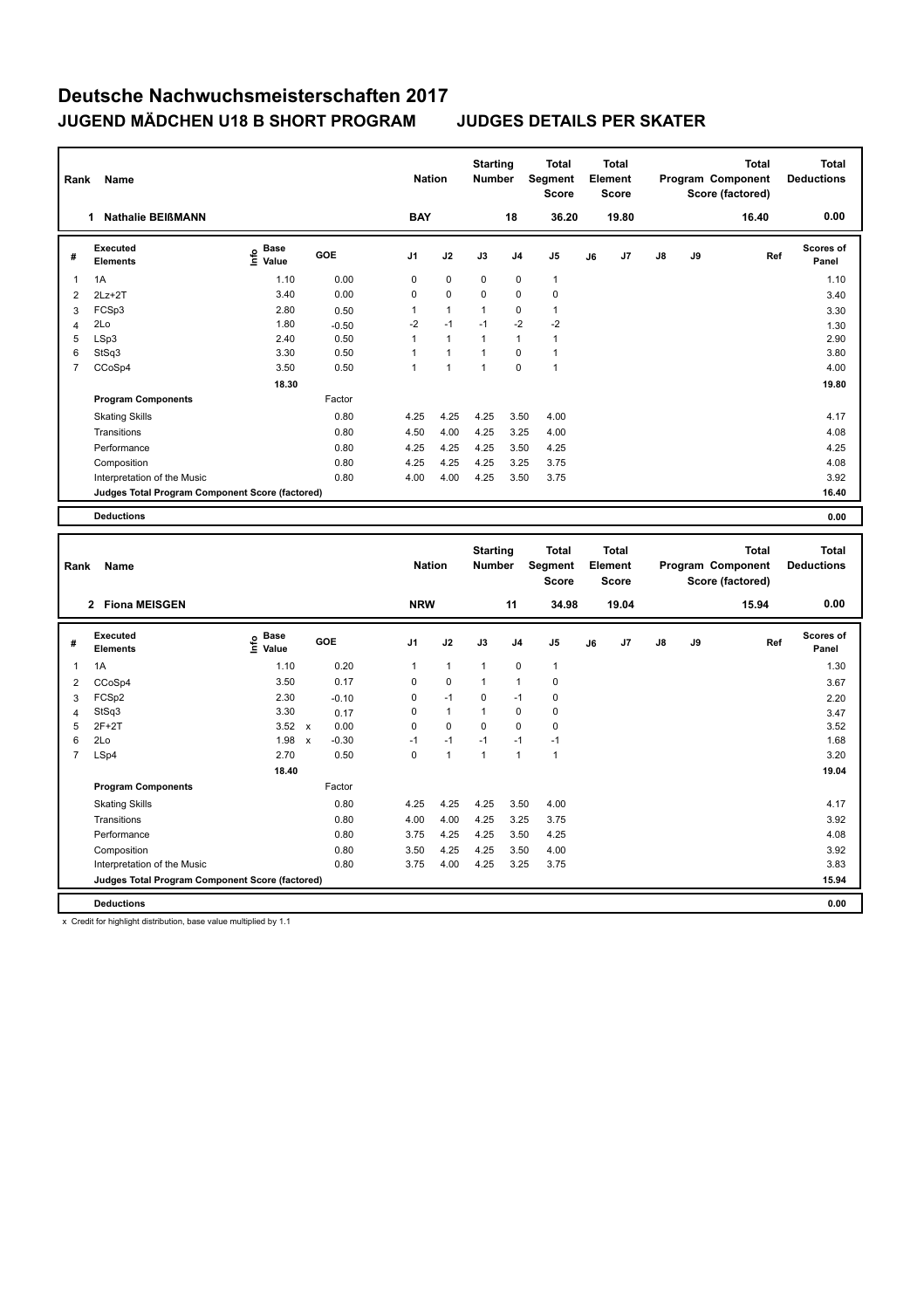| Rank           | Name                                            |                                             |         | <b>Nation</b>  |                | <b>Starting</b><br><b>Number</b> |                | <b>Total</b><br>Segment<br><b>Score</b> |    | <b>Total</b><br>Element<br><b>Score</b> |               |    | Total<br>Program Component<br>Score (factored) | <b>Total</b><br><b>Deductions</b> |
|----------------|-------------------------------------------------|---------------------------------------------|---------|----------------|----------------|----------------------------------|----------------|-----------------------------------------|----|-----------------------------------------|---------------|----|------------------------------------------------|-----------------------------------|
|                | <b>Nathalie BEIßMANN</b><br>1                   |                                             |         | <b>BAY</b>     |                |                                  | 18             | 36.20                                   |    | 19.80                                   |               |    | 16.40                                          | 0.00                              |
| #              | Executed<br><b>Elements</b>                     | <b>Base</b><br>е <sup>Base</sup><br>⊆ Value | GOE     | J <sub>1</sub> | J2             | J3                               | J4             | J <sub>5</sub>                          | J6 | J7                                      | $\mathsf{J}8$ | J9 | Ref                                            | <b>Scores of</b><br>Panel         |
| $\overline{1}$ | 1A                                              | 1.10                                        | 0.00    | 0              | $\mathbf 0$    | $\mathbf 0$                      | $\mathbf 0$    | 1                                       |    |                                         |               |    |                                                | 1.10                              |
| 2              | $2Lz+2T$                                        | 3.40                                        | 0.00    | 0              | $\mathbf 0$    | $\Omega$                         | $\mathbf 0$    | 0                                       |    |                                         |               |    |                                                | 3.40                              |
| 3              | FCSp3                                           | 2.80                                        | 0.50    |                | 1              | 1                                | $\mathbf 0$    | 1                                       |    |                                         |               |    |                                                | 3.30                              |
| 4              | 2Lo                                             | 1.80                                        | $-0.50$ | $-2$           | $-1$           | $-1$                             | $-2$           | $-2$                                    |    |                                         |               |    |                                                | 1.30                              |
| 5              | LSp3                                            | 2.40                                        | 0.50    | 1              | $\mathbf{1}$   | -1                               | $\overline{1}$ | 1                                       |    |                                         |               |    |                                                | 2.90                              |
| 6              | StSq3                                           | 3.30                                        | 0.50    |                | $\overline{1}$ | 1                                | $\Omega$       | $\mathbf{1}$                            |    |                                         |               |    |                                                | 3.80                              |
| $\overline{7}$ | CCoSp4                                          | 3.50                                        | 0.50    | 1              | 1              | $\overline{1}$                   | $\mathbf 0$    | $\overline{1}$                          |    |                                         |               |    |                                                | 4.00                              |
|                |                                                 | 18.30                                       |         |                |                |                                  |                |                                         |    |                                         |               |    |                                                | 19.80                             |
|                | <b>Program Components</b>                       |                                             | Factor  |                |                |                                  |                |                                         |    |                                         |               |    |                                                |                                   |
|                | <b>Skating Skills</b>                           |                                             | 0.80    | 4.25           | 4.25           | 4.25                             | 3.50           | 4.00                                    |    |                                         |               |    |                                                | 4.17                              |
|                | Transitions                                     |                                             | 0.80    | 4.50           | 4.00           | 4.25                             | 3.25           | 4.00                                    |    |                                         |               |    |                                                | 4.08                              |
|                | Performance                                     |                                             | 0.80    | 4.25           | 4.25           | 4.25                             | 3.50           | 4.25                                    |    |                                         |               |    |                                                | 4.25                              |
|                | Composition                                     |                                             | 0.80    | 4.25           | 4.25           | 4.25                             | 3.25           | 3.75                                    |    |                                         |               |    |                                                | 4.08                              |
|                | Interpretation of the Music                     |                                             | 0.80    | 4.00           | 4.00           | 4.25                             | 3.50           | 3.75                                    |    |                                         |               |    |                                                | 3.92                              |
|                | Judges Total Program Component Score (factored) |                                             |         |                |                |                                  |                |                                         |    |                                         |               |    |                                                | 16.40                             |
|                | <b>Deductions</b>                               |                                             |         |                |                |                                  |                |                                         |    |                                         |               |    |                                                | 0.00                              |

| Rank           | <b>Name</b>                                     |                              |                           |         |                | <b>Nation</b> | <b>Starting</b><br><b>Number</b> |                | <b>Total</b><br>Segment<br><b>Score</b> |    | <b>Total</b><br>Element<br><b>Score</b> |               |    | <b>Total</b><br>Program Component<br>Score (factored) | <b>Total</b><br><b>Deductions</b> |
|----------------|-------------------------------------------------|------------------------------|---------------------------|---------|----------------|---------------|----------------------------------|----------------|-----------------------------------------|----|-----------------------------------------|---------------|----|-------------------------------------------------------|-----------------------------------|
|                | 2 Fiona MEISGEN                                 |                              |                           |         | <b>NRW</b>     |               |                                  | 11             | 34.98                                   |    | 19.04                                   |               |    | 15.94                                                 | 0.00                              |
| #              | Executed<br><b>Elements</b>                     | <b>Base</b><br>١nfo<br>Value |                           | GOE     | J <sub>1</sub> | J2            | J3                               | J <sub>4</sub> | J <sub>5</sub>                          | J6 | J7                                      | $\mathsf{J}8$ | J9 | Ref                                                   | <b>Scores of</b><br>Panel         |
| 1              | 1A                                              | 1.10                         |                           | 0.20    | 1              | $\mathbf{1}$  | $\overline{1}$                   | $\mathbf 0$    | $\mathbf{1}$                            |    |                                         |               |    |                                                       | 1.30                              |
| 2              | CCoSp4                                          | 3.50                         |                           | 0.17    | 0              | $\mathbf 0$   | $\overline{1}$                   | $\overline{1}$ | 0                                       |    |                                         |               |    |                                                       | 3.67                              |
| 3              | FCSp2                                           | 2.30                         |                           | $-0.10$ | 0              | $-1$          | 0                                | $-1$           | 0                                       |    |                                         |               |    |                                                       | 2.20                              |
| $\overline{4}$ | StSq3                                           | 3.30                         |                           | 0.17    | $\Omega$       | $\mathbf{1}$  | 1                                | $\mathbf 0$    | $\mathbf 0$                             |    |                                         |               |    |                                                       | 3.47                              |
| 5              | $2F+2T$                                         | 3.52                         | $\boldsymbol{\mathsf{x}}$ | 0.00    | 0              | $\mathbf 0$   | $\mathbf 0$                      | $\mathbf 0$    | 0                                       |    |                                         |               |    |                                                       | 3.52                              |
| 6              | 2Lo                                             | 1.98                         | $\boldsymbol{\mathsf{x}}$ | $-0.30$ | $-1$           | $-1$          | $-1$                             | $-1$           | $-1$                                    |    |                                         |               |    |                                                       | 1.68                              |
| $\overline{7}$ | LSp4                                            | 2.70                         |                           | 0.50    | 0              | $\mathbf{1}$  | 1                                | $\overline{1}$ | 1                                       |    |                                         |               |    |                                                       | 3.20                              |
|                |                                                 | 18.40                        |                           |         |                |               |                                  |                |                                         |    |                                         |               |    |                                                       | 19.04                             |
|                | <b>Program Components</b>                       |                              |                           | Factor  |                |               |                                  |                |                                         |    |                                         |               |    |                                                       |                                   |
|                | <b>Skating Skills</b>                           |                              |                           | 0.80    | 4.25           | 4.25          | 4.25                             | 3.50           | 4.00                                    |    |                                         |               |    |                                                       | 4.17                              |
|                | Transitions                                     |                              |                           | 0.80    | 4.00           | 4.00          | 4.25                             | 3.25           | 3.75                                    |    |                                         |               |    |                                                       | 3.92                              |
|                | Performance                                     |                              |                           | 0.80    | 3.75           | 4.25          | 4.25                             | 3.50           | 4.25                                    |    |                                         |               |    |                                                       | 4.08                              |
|                | Composition                                     |                              |                           | 0.80    | 3.50           | 4.25          | 4.25                             | 3.50           | 4.00                                    |    |                                         |               |    |                                                       | 3.92                              |
|                | Interpretation of the Music                     |                              |                           | 0.80    | 3.75           | 4.00          | 4.25                             | 3.25           | 3.75                                    |    |                                         |               |    |                                                       | 3.83                              |
|                | Judges Total Program Component Score (factored) |                              |                           |         |                |               |                                  |                |                                         |    |                                         |               |    |                                                       | 15.94                             |
|                | <b>Deductions</b>                               |                              |                           |         |                |               |                                  |                |                                         |    |                                         |               |    |                                                       | 0.00                              |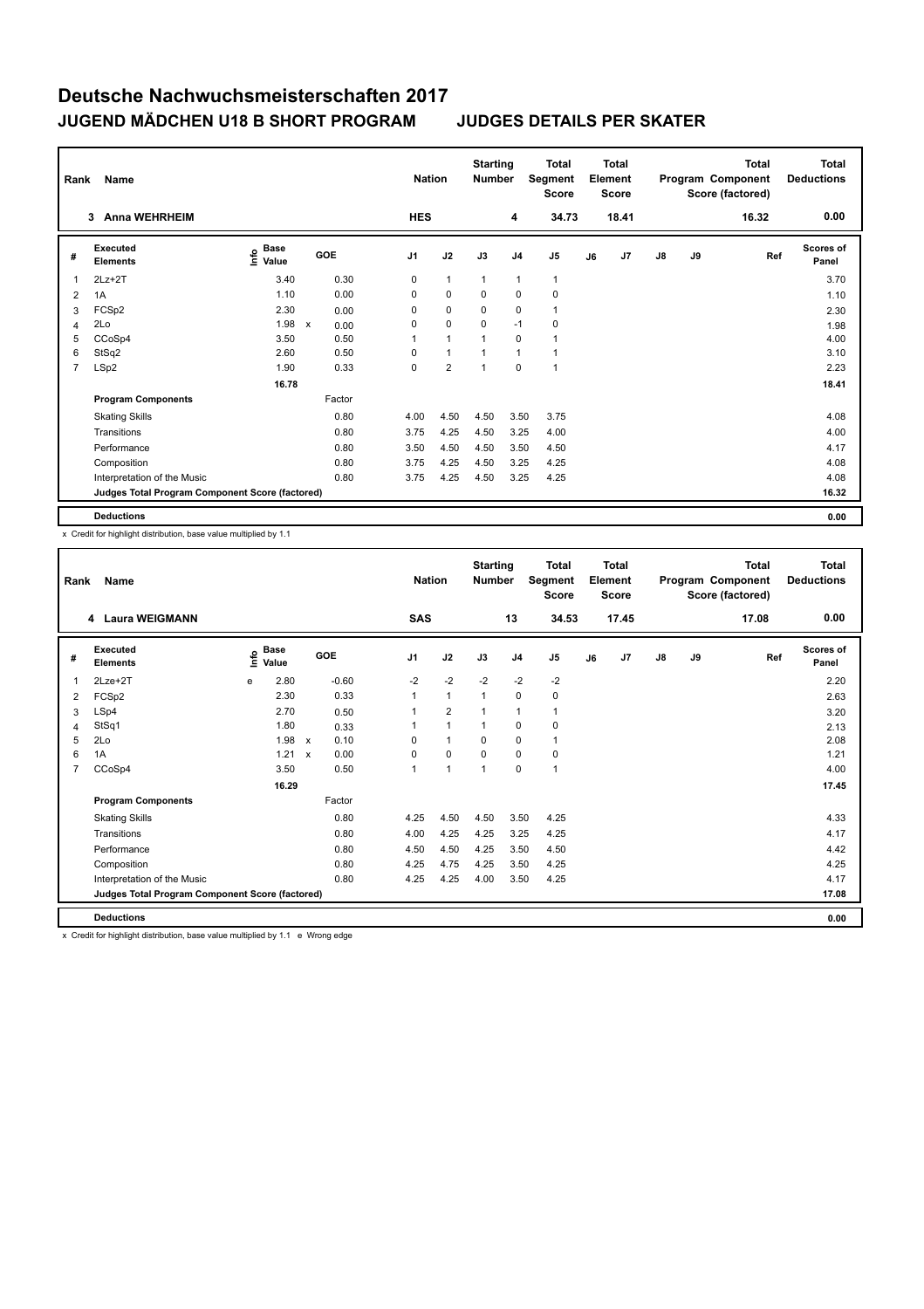| Rank           | Name                                            |                                             |              |            | <b>Nation</b>  |                | <b>Starting</b><br><b>Number</b> |                | Total<br>Segment<br><b>Score</b> |    | <b>Total</b><br>Element<br><b>Score</b> |               |    | <b>Total</b><br>Program Component<br>Score (factored) | <b>Total</b><br><b>Deductions</b> |
|----------------|-------------------------------------------------|---------------------------------------------|--------------|------------|----------------|----------------|----------------------------------|----------------|----------------------------------|----|-----------------------------------------|---------------|----|-------------------------------------------------------|-----------------------------------|
|                | <b>Anna WEHRHEIM</b><br>3                       |                                             |              |            | <b>HES</b>     |                |                                  | 4              | 34.73                            |    | 18.41                                   |               |    | 16.32                                                 | 0.00                              |
| #              | <b>Executed</b><br><b>Elements</b>              | <b>Base</b><br>e <sup>Base</sup><br>⊆ Value |              | <b>GOE</b> | J <sub>1</sub> | J2             | J3                               | J <sub>4</sub> | J <sub>5</sub>                   | J6 | J7                                      | $\mathsf{J}8$ | J9 | Ref                                                   | <b>Scores of</b><br>Panel         |
| 1              | $2Lz+2T$                                        | 3.40                                        |              | 0.30       | 0              | $\mathbf{1}$   | $\mathbf{1}$                     | $\mathbf{1}$   | $\mathbf{1}$                     |    |                                         |               |    |                                                       | 3.70                              |
| 2              | 1A                                              | 1.10                                        |              | 0.00       | 0              | $\mathbf 0$    | $\Omega$                         | $\Omega$       | 0                                |    |                                         |               |    |                                                       | 1.10                              |
| 3              | FCSp2                                           | 2.30                                        |              | 0.00       | 0              | $\mathbf 0$    | 0                                | 0              | $\mathbf{1}$                     |    |                                         |               |    |                                                       | 2.30                              |
| 4              | 2Lo                                             | 1.98                                        | $\mathsf{x}$ | 0.00       | 0              | $\mathbf 0$    | $\Omega$                         | $-1$           | 0                                |    |                                         |               |    |                                                       | 1.98                              |
| 5              | CCoSp4                                          | 3.50                                        |              | 0.50       | $\mathbf{1}$   | $\mathbf{1}$   | 1                                | $\Omega$       | 1                                |    |                                         |               |    |                                                       | 4.00                              |
| 6              | StSq2                                           | 2.60                                        |              | 0.50       | 0              | $\mathbf{1}$   | 1                                | $\overline{1}$ | $\overline{1}$                   |    |                                         |               |    |                                                       | 3.10                              |
| $\overline{7}$ | LSp2                                            | 1.90                                        |              | 0.33       | 0              | $\overline{2}$ | 1                                | $\mathbf 0$    | $\overline{1}$                   |    |                                         |               |    |                                                       | 2.23                              |
|                |                                                 | 16.78                                       |              |            |                |                |                                  |                |                                  |    |                                         |               |    |                                                       | 18.41                             |
|                | <b>Program Components</b>                       |                                             |              | Factor     |                |                |                                  |                |                                  |    |                                         |               |    |                                                       |                                   |
|                | <b>Skating Skills</b>                           |                                             |              | 0.80       | 4.00           | 4.50           | 4.50                             | 3.50           | 3.75                             |    |                                         |               |    |                                                       | 4.08                              |
|                | Transitions                                     |                                             |              | 0.80       | 3.75           | 4.25           | 4.50                             | 3.25           | 4.00                             |    |                                         |               |    |                                                       | 4.00                              |
|                | Performance                                     |                                             |              | 0.80       | 3.50           | 4.50           | 4.50                             | 3.50           | 4.50                             |    |                                         |               |    |                                                       | 4.17                              |
|                | Composition                                     |                                             |              | 0.80       | 3.75           | 4.25           | 4.50                             | 3.25           | 4.25                             |    |                                         |               |    |                                                       | 4.08                              |
|                | Interpretation of the Music                     |                                             |              | 0.80       | 3.75           | 4.25           | 4.50                             | 3.25           | 4.25                             |    |                                         |               |    |                                                       | 4.08                              |
|                | Judges Total Program Component Score (factored) |                                             |              |            |                |                |                                  |                |                                  |    |                                         |               |    |                                                       | 16.32                             |
|                | <b>Deductions</b>                               |                                             |              |            |                |                |                                  |                |                                  |    |                                         |               |    |                                                       | 0.00                              |

x Credit for highlight distribution, base value multiplied by 1.1

| Rank           | <b>Name</b>                                     |    | <b>Nation</b>        |                           | <b>Starting</b><br><b>Number</b> |                | <b>Total</b><br>Segment<br><b>Score</b> |                | <b>Total</b><br>Element<br><b>Score</b> |                |    | <b>Total</b><br>Program Component<br>Score (factored) | <b>Total</b><br><b>Deductions</b> |    |       |                           |
|----------------|-------------------------------------------------|----|----------------------|---------------------------|----------------------------------|----------------|-----------------------------------------|----------------|-----------------------------------------|----------------|----|-------------------------------------------------------|-----------------------------------|----|-------|---------------------------|
|                | 4 Laura WEIGMANN                                |    |                      |                           |                                  | <b>SAS</b>     |                                         |                | 13                                      | 34.53          |    | 17.45                                                 |                                   |    | 17.08 | 0.00                      |
| #              | Executed<br><b>Elements</b>                     | ١m | <b>Base</b><br>Value |                           | GOE                              | J <sub>1</sub> | J2                                      | J3             | J <sub>4</sub>                          | J <sub>5</sub> | J6 | J7                                                    | $\mathsf{J}8$                     | J9 | Ref   | <b>Scores of</b><br>Panel |
| 1              | 2Lze+2T                                         | e  | 2.80                 |                           | $-0.60$                          | $-2$           | $-2$                                    | $-2$           | $-2$                                    | $-2$           |    |                                                       |                                   |    |       | 2.20                      |
| 2              | FCSp2                                           |    | 2.30                 |                           | 0.33                             | $\mathbf{1}$   | $\overline{1}$                          | $\overline{1}$ | $\mathbf 0$                             | 0              |    |                                                       |                                   |    |       | 2.63                      |
| 3              | LSp4                                            |    | 2.70                 |                           | 0.50                             |                | $\overline{2}$                          | 1              | $\overline{1}$                          | $\mathbf{1}$   |    |                                                       |                                   |    |       | 3.20                      |
| 4              | StSq1                                           |    | 1.80                 |                           | 0.33                             |                | $\overline{1}$                          | $\mathbf{1}$   | 0                                       | 0              |    |                                                       |                                   |    |       | 2.13                      |
| 5              | 2Lo                                             |    | 1.98                 | $\mathsf{x}$              | 0.10                             | 0              | $\mathbf{1}$                            | 0              | 0                                       | $\mathbf{1}$   |    |                                                       |                                   |    |       | 2.08                      |
| 6              | 1A                                              |    | 1.21                 | $\boldsymbol{\mathsf{x}}$ | 0.00                             | 0              | 0                                       | $\Omega$       | 0                                       | 0              |    |                                                       |                                   |    |       | 1.21                      |
| $\overline{7}$ | CCoSp4                                          |    | 3.50                 |                           | 0.50                             | $\mathbf{1}$   | $\overline{1}$                          | 1              | $\Omega$                                | $\mathbf{1}$   |    |                                                       |                                   |    |       | 4.00                      |
|                |                                                 |    | 16.29                |                           |                                  |                |                                         |                |                                         |                |    |                                                       |                                   |    |       | 17.45                     |
|                | <b>Program Components</b>                       |    |                      |                           | Factor                           |                |                                         |                |                                         |                |    |                                                       |                                   |    |       |                           |
|                | <b>Skating Skills</b>                           |    |                      |                           | 0.80                             | 4.25           | 4.50                                    | 4.50           | 3.50                                    | 4.25           |    |                                                       |                                   |    |       | 4.33                      |
|                | Transitions                                     |    |                      |                           | 0.80                             | 4.00           | 4.25                                    | 4.25           | 3.25                                    | 4.25           |    |                                                       |                                   |    |       | 4.17                      |
|                | Performance                                     |    |                      |                           | 0.80                             | 4.50           | 4.50                                    | 4.25           | 3.50                                    | 4.50           |    |                                                       |                                   |    |       | 4.42                      |
|                | Composition                                     |    |                      |                           | 0.80                             | 4.25           | 4.75                                    | 4.25           | 3.50                                    | 4.25           |    |                                                       |                                   |    |       | 4.25                      |
|                | Interpretation of the Music                     |    |                      |                           | 0.80                             | 4.25           | 4.25                                    | 4.00           | 3.50                                    | 4.25           |    |                                                       |                                   |    |       | 4.17                      |
|                | Judges Total Program Component Score (factored) |    |                      |                           |                                  |                |                                         |                |                                         |                |    |                                                       |                                   |    |       | 17.08                     |
|                | <b>Deductions</b>                               |    |                      |                           |                                  |                |                                         |                |                                         |                |    |                                                       |                                   |    |       | 0.00                      |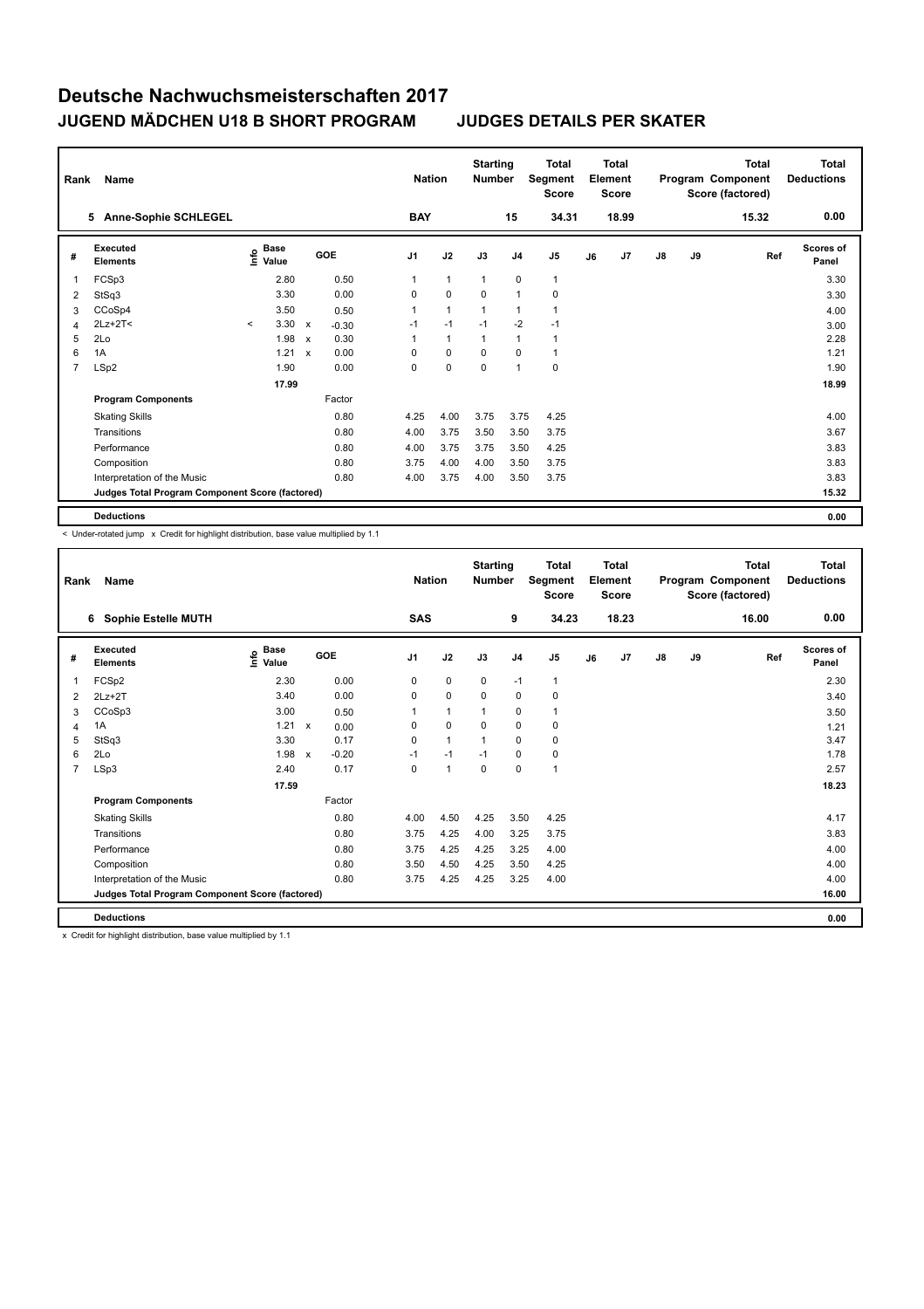| Rank           | Name                                            |         |                                             |                           |         |                | <b>Nation</b>  | <b>Starting</b><br><b>Number</b> |                | <b>Total</b><br>Segment<br><b>Score</b> |    | Total<br>Element<br><b>Score</b> |               |    | <b>Total</b><br>Program Component<br>Score (factored) | Total<br><b>Deductions</b> |
|----------------|-------------------------------------------------|---------|---------------------------------------------|---------------------------|---------|----------------|----------------|----------------------------------|----------------|-----------------------------------------|----|----------------------------------|---------------|----|-------------------------------------------------------|----------------------------|
|                | 5 Anne-Sophie SCHLEGEL                          |         |                                             |                           |         | <b>BAY</b>     |                |                                  | 15             | 34.31                                   |    | 18.99                            |               |    | 15.32                                                 | 0.00                       |
| #              | Executed<br><b>Elements</b>                     |         | <b>Base</b><br>e <sup>Base</sup><br>⊆ Value |                           | GOE     | J <sub>1</sub> | J2             | J3                               | J4             | J <sub>5</sub>                          | J6 | J7                               | $\mathsf{J}8$ | J9 | Ref                                                   | <b>Scores of</b><br>Panel  |
| 1              | FCSp3                                           |         | 2.80                                        |                           | 0.50    | 1              | $\mathbf{1}$   | $\overline{1}$                   | $\mathbf 0$    | $\mathbf{1}$                            |    |                                  |               |    |                                                       | 3.30                       |
| 2              | StSq3                                           |         | 3.30                                        |                           | 0.00    | $\Omega$       | $\mathbf 0$    | $\Omega$                         | $\overline{1}$ | $\mathbf 0$                             |    |                                  |               |    |                                                       | 3.30                       |
| 3              | CCoSp4                                          |         | 3.50                                        |                           | 0.50    | 1              | $\overline{1}$ | 1                                | 1              | 1                                       |    |                                  |               |    |                                                       | 4.00                       |
| 4              | $2Lz+2T<$                                       | $\prec$ | $3.30 \times$                               |                           | $-0.30$ | $-1$           | $-1$           | $-1$                             | $-2$           | $-1$                                    |    |                                  |               |    |                                                       | 3.00                       |
| 5              | 2Lo                                             |         | 1.98                                        | $\boldsymbol{\mathsf{x}}$ | 0.30    | 1              | $\mathbf{1}$   | 1                                | $\overline{1}$ | 1                                       |    |                                  |               |    |                                                       | 2.28                       |
| 6              | 1A                                              |         | 1.21                                        | $\mathsf{x}$              | 0.00    | 0              | $\mathbf 0$    | 0                                | $\mathbf 0$    | $\mathbf{1}$                            |    |                                  |               |    |                                                       | 1.21                       |
| $\overline{7}$ | LSp2                                            |         | 1.90                                        |                           | 0.00    | 0              | 0              | 0                                | $\overline{1}$ | 0                                       |    |                                  |               |    |                                                       | 1.90                       |
|                |                                                 |         | 17.99                                       |                           |         |                |                |                                  |                |                                         |    |                                  |               |    |                                                       | 18.99                      |
|                | <b>Program Components</b>                       |         |                                             |                           | Factor  |                |                |                                  |                |                                         |    |                                  |               |    |                                                       |                            |
|                | <b>Skating Skills</b>                           |         |                                             |                           | 0.80    | 4.25           | 4.00           | 3.75                             | 3.75           | 4.25                                    |    |                                  |               |    |                                                       | 4.00                       |
|                | Transitions                                     |         |                                             |                           | 0.80    | 4.00           | 3.75           | 3.50                             | 3.50           | 3.75                                    |    |                                  |               |    |                                                       | 3.67                       |
|                | Performance                                     |         |                                             |                           | 0.80    | 4.00           | 3.75           | 3.75                             | 3.50           | 4.25                                    |    |                                  |               |    |                                                       | 3.83                       |
|                | Composition                                     |         |                                             |                           | 0.80    | 3.75           | 4.00           | 4.00                             | 3.50           | 3.75                                    |    |                                  |               |    |                                                       | 3.83                       |
|                | Interpretation of the Music                     |         |                                             |                           | 0.80    | 4.00           | 3.75           | 4.00                             | 3.50           | 3.75                                    |    |                                  |               |    |                                                       | 3.83                       |
|                | Judges Total Program Component Score (factored) |         |                                             |                           |         |                |                |                                  |                |                                         |    |                                  |               |    |                                                       | 15.32                      |
|                | <b>Deductions</b>                               |         |                                             |                           |         |                |                |                                  |                |                                         |    |                                  |               |    |                                                       | 0.00                       |

< Under-rotated jump x Credit for highlight distribution, base value multiplied by 1.1

| Rank           | Name                                            |                                         |              |         |            | <b>Nation</b> | <b>Starting</b><br><b>Number</b> |                | Total<br>Segment<br><b>Score</b> |    | Total<br>Element<br><b>Score</b> |               |    | Total<br>Program Component<br>Score (factored) | <b>Total</b><br><b>Deductions</b> |
|----------------|-------------------------------------------------|-----------------------------------------|--------------|---------|------------|---------------|----------------------------------|----------------|----------------------------------|----|----------------------------------|---------------|----|------------------------------------------------|-----------------------------------|
|                | Sophie Estelle MUTH<br>6                        |                                         |              |         | <b>SAS</b> |               |                                  | 9              | 34.23                            |    | 18.23                            |               |    | 16.00                                          | 0.00                              |
| #              | <b>Executed</b><br><b>Elements</b>              | $\mathbf{e}$ Base<br>$\mathbf{E}$ Value |              | GOE     | J1         | J2            | J3                               | J <sub>4</sub> | J <sub>5</sub>                   | J6 | J7                               | $\mathsf{J}8$ | J9 | Ref                                            | <b>Scores of</b><br>Panel         |
| 1              | FCS <sub>p2</sub>                               | 2.30                                    |              | 0.00    | 0          | $\mathbf 0$   | $\mathbf 0$                      | $-1$           | $\mathbf{1}$                     |    |                                  |               |    |                                                | 2.30                              |
| $\overline{2}$ | $2Lz+2T$                                        | 3.40                                    |              | 0.00    | 0          | $\mathbf 0$   | $\mathbf 0$                      | $\mathbf 0$    | 0                                |    |                                  |               |    |                                                | 3.40                              |
| 3              | CCoSp3                                          | 3.00                                    |              | 0.50    | 1          | $\mathbf{1}$  | $\mathbf{1}$                     | $\mathbf 0$    | $\mathbf{1}$                     |    |                                  |               |    |                                                | 3.50                              |
| 4              | 1A                                              | 1.21                                    | $\mathsf{x}$ | 0.00    | 0          | $\mathbf 0$   | $\mathbf 0$                      | $\mathbf 0$    | 0                                |    |                                  |               |    |                                                | 1.21                              |
| 5              | StSq3                                           | 3.30                                    |              | 0.17    | 0          | $\mathbf{1}$  | 1                                | 0              | 0                                |    |                                  |               |    |                                                | 3.47                              |
| 6              | 2Lo                                             | 1.98                                    | $\mathsf{x}$ | $-0.20$ | $-1$       | $-1$          | $-1$                             | 0              | $\pmb{0}$                        |    |                                  |               |    |                                                | 1.78                              |
| 7              | LSp3                                            | 2.40                                    |              | 0.17    | $\Omega$   | $\mathbf{1}$  | 0                                | $\mathbf 0$    | $\mathbf{1}$                     |    |                                  |               |    |                                                | 2.57                              |
|                |                                                 | 17.59                                   |              |         |            |               |                                  |                |                                  |    |                                  |               |    |                                                | 18.23                             |
|                | <b>Program Components</b>                       |                                         |              | Factor  |            |               |                                  |                |                                  |    |                                  |               |    |                                                |                                   |
|                | <b>Skating Skills</b>                           |                                         |              | 0.80    | 4.00       | 4.50          | 4.25                             | 3.50           | 4.25                             |    |                                  |               |    |                                                | 4.17                              |
|                | Transitions                                     |                                         |              | 0.80    | 3.75       | 4.25          | 4.00                             | 3.25           | 3.75                             |    |                                  |               |    |                                                | 3.83                              |
|                | Performance                                     |                                         |              | 0.80    | 3.75       | 4.25          | 4.25                             | 3.25           | 4.00                             |    |                                  |               |    |                                                | 4.00                              |
|                | Composition                                     |                                         |              | 0.80    | 3.50       | 4.50          | 4.25                             | 3.50           | 4.25                             |    |                                  |               |    |                                                | 4.00                              |
|                | Interpretation of the Music                     |                                         |              | 0.80    | 3.75       | 4.25          | 4.25                             | 3.25           | 4.00                             |    |                                  |               |    |                                                | 4.00                              |
|                | Judges Total Program Component Score (factored) |                                         |              |         |            |               |                                  |                |                                  |    |                                  |               |    |                                                | 16.00                             |
|                | <b>Deductions</b>                               |                                         |              |         |            |               |                                  |                |                                  |    |                                  |               |    |                                                | 0.00                              |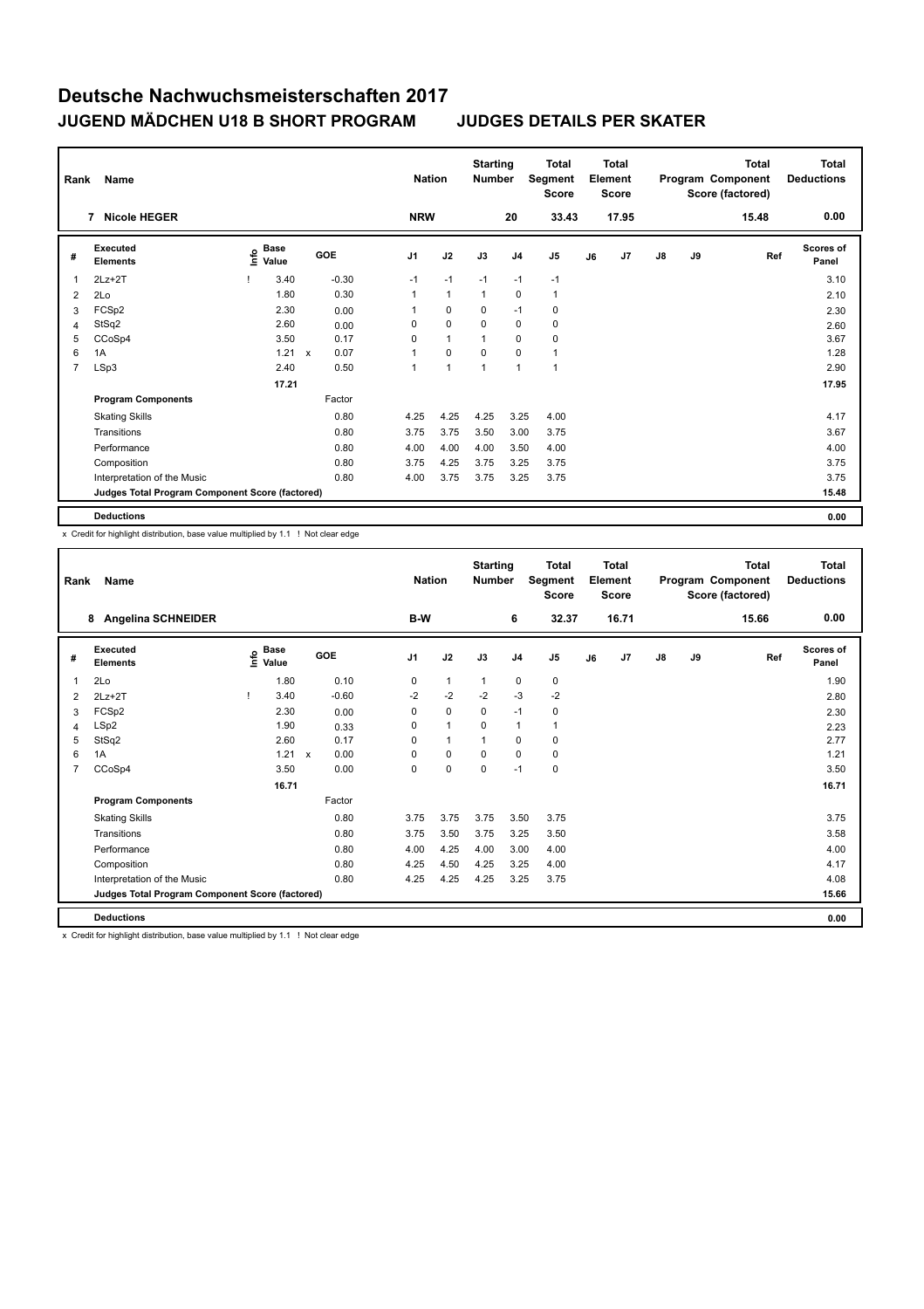| Rank | Name                                            |                                             |              |            |                | <b>Nation</b> | <b>Starting</b><br><b>Number</b> |                | <b>Total</b><br>Segment<br><b>Score</b> |    | <b>Total</b><br>Element<br><b>Score</b> |               |    | <b>Total</b><br>Program Component<br>Score (factored) | <b>Total</b><br><b>Deductions</b> |
|------|-------------------------------------------------|---------------------------------------------|--------------|------------|----------------|---------------|----------------------------------|----------------|-----------------------------------------|----|-----------------------------------------|---------------|----|-------------------------------------------------------|-----------------------------------|
|      | <b>Nicole HEGER</b><br>7                        |                                             |              |            | <b>NRW</b>     |               |                                  | 20             | 33.43                                   |    | 17.95                                   |               |    | 15.48                                                 | 0.00                              |
| #    | <b>Executed</b><br><b>Elements</b>              | <b>Base</b><br>e <sup>Base</sup><br>⊆ Value |              | <b>GOE</b> | J <sub>1</sub> | J2            | J3                               | J <sub>4</sub> | J <sub>5</sub>                          | J6 | J7                                      | $\mathsf{J}8$ | J9 | Ref                                                   | <b>Scores of</b><br>Panel         |
| 1    | $2Lz + 2T$                                      | 3.40                                        |              | $-0.30$    | $-1$           | $-1$          | $-1$                             | $-1$           | $-1$                                    |    |                                         |               |    |                                                       | 3.10                              |
| 2    | 2Lo                                             | 1.80                                        |              | 0.30       | 1              | $\mathbf{1}$  | 1                                | $\Omega$       | $\mathbf{1}$                            |    |                                         |               |    |                                                       | 2.10                              |
| 3    | FCS <sub>p2</sub>                               | 2.30                                        |              | 0.00       | 1              | $\mathbf 0$   | 0                                | $-1$           | 0                                       |    |                                         |               |    |                                                       | 2.30                              |
| 4    | StSq2                                           | 2.60                                        |              | 0.00       | 0              | $\mathbf 0$   | 0                                | 0              | 0                                       |    |                                         |               |    |                                                       | 2.60                              |
| 5    | CCoSp4                                          | 3.50                                        |              | 0.17       | 0              | $\mathbf{1}$  | 1                                | $\mathbf 0$    | $\pmb{0}$                               |    |                                         |               |    |                                                       | 3.67                              |
| 6    | 1A                                              | 1.21                                        | $\mathsf{x}$ | 0.07       | 1              | $\mathbf 0$   | 0                                | $\Omega$       | $\mathbf{1}$                            |    |                                         |               |    |                                                       | 1.28                              |
| 7    | LSp3                                            | 2.40                                        |              | 0.50       | 1              | $\mathbf{1}$  | $\mathbf{1}$                     | 1              | $\overline{1}$                          |    |                                         |               |    |                                                       | 2.90                              |
|      |                                                 | 17.21                                       |              |            |                |               |                                  |                |                                         |    |                                         |               |    |                                                       | 17.95                             |
|      | <b>Program Components</b>                       |                                             |              | Factor     |                |               |                                  |                |                                         |    |                                         |               |    |                                                       |                                   |
|      | <b>Skating Skills</b>                           |                                             |              | 0.80       | 4.25           | 4.25          | 4.25                             | 3.25           | 4.00                                    |    |                                         |               |    |                                                       | 4.17                              |
|      | Transitions                                     |                                             |              | 0.80       | 3.75           | 3.75          | 3.50                             | 3.00           | 3.75                                    |    |                                         |               |    |                                                       | 3.67                              |
|      | Performance                                     |                                             |              | 0.80       | 4.00           | 4.00          | 4.00                             | 3.50           | 4.00                                    |    |                                         |               |    |                                                       | 4.00                              |
|      | Composition                                     |                                             |              | 0.80       | 3.75           | 4.25          | 3.75                             | 3.25           | 3.75                                    |    |                                         |               |    |                                                       | 3.75                              |
|      | Interpretation of the Music                     |                                             |              | 0.80       | 4.00           | 3.75          | 3.75                             | 3.25           | 3.75                                    |    |                                         |               |    |                                                       | 3.75                              |
|      | Judges Total Program Component Score (factored) |                                             |              |            |                |               |                                  |                |                                         |    |                                         |               |    |                                                       | 15.48                             |
|      | <b>Deductions</b>                               |                                             |              |            |                |               |                                  |                |                                         |    |                                         |               |    |                                                       | 0.00                              |

x Credit for highlight distribution, base value multiplied by 1.1 ! Not clear edge

| Rank | Name<br><b>Angelina SCHNEIDER</b><br>8          |  |                                  |                           |            | <b>Nation</b> |              | <b>Starting</b><br><b>Number</b> |                | <b>Total</b><br>Segment<br><b>Score</b> |    | Total<br>Element<br><b>Score</b> |               |    | <b>Total</b><br>Program Component<br>Score (factored) | <b>Total</b><br><b>Deductions</b> |
|------|-------------------------------------------------|--|----------------------------------|---------------------------|------------|---------------|--------------|----------------------------------|----------------|-----------------------------------------|----|----------------------------------|---------------|----|-------------------------------------------------------|-----------------------------------|
|      |                                                 |  |                                  |                           |            | B-W           |              |                                  | 6              | 32.37                                   |    | 16.71                            |               |    | 15.66                                                 | 0.00                              |
| #    | Executed<br><b>Elements</b>                     |  | <b>Base</b><br>e Base<br>E Value |                           | <b>GOE</b> | J1            | J2           | J3                               | J <sub>4</sub> | J <sub>5</sub>                          | J6 | J7                               | $\mathsf{J}8$ | J9 | Ref                                                   | <b>Scores of</b><br>Panel         |
| 1    | 2Lo                                             |  | 1.80                             |                           | 0.10       | 0             | $\mathbf{1}$ | $\mathbf{1}$                     | $\mathbf 0$    | $\mathbf 0$                             |    |                                  |               |    |                                                       | 1.90                              |
| 2    | $2Lz+2T$                                        |  | 3.40                             |                           | $-0.60$    | $-2$          | $-2$         | $-2$                             | $-3$           | $-2$                                    |    |                                  |               |    |                                                       | 2.80                              |
| 3    | FCSp2                                           |  | 2.30                             |                           | 0.00       | 0             | $\mathbf 0$  | 0                                | $-1$           | 0                                       |    |                                  |               |    |                                                       | 2.30                              |
| 4    | LSp2                                            |  | 1.90                             |                           | 0.33       | 0             | $\mathbf{1}$ | 0                                | $\mathbf{1}$   | 1                                       |    |                                  |               |    |                                                       | 2.23                              |
| 5    | StSq2                                           |  | 2.60                             |                           | 0.17       | $\Omega$      | $\mathbf{1}$ | 1                                | 0              | 0                                       |    |                                  |               |    |                                                       | 2.77                              |
| 6    | 1A                                              |  | 1.21                             | $\boldsymbol{\mathsf{x}}$ | 0.00       | 0             | $\mathbf 0$  | 0                                | $\mathbf 0$    | $\mathbf 0$                             |    |                                  |               |    |                                                       | 1.21                              |
| 7    | CCoSp4                                          |  | 3.50                             |                           | 0.00       | $\Omega$      | $\mathbf 0$  | 0                                | $-1$           | 0                                       |    |                                  |               |    |                                                       | 3.50                              |
|      |                                                 |  | 16.71                            |                           |            |               |              |                                  |                |                                         |    |                                  |               |    |                                                       | 16.71                             |
|      | <b>Program Components</b>                       |  |                                  |                           | Factor     |               |              |                                  |                |                                         |    |                                  |               |    |                                                       |                                   |
|      | <b>Skating Skills</b>                           |  |                                  |                           | 0.80       | 3.75          | 3.75         | 3.75                             | 3.50           | 3.75                                    |    |                                  |               |    |                                                       | 3.75                              |
|      | Transitions                                     |  |                                  |                           | 0.80       | 3.75          | 3.50         | 3.75                             | 3.25           | 3.50                                    |    |                                  |               |    |                                                       | 3.58                              |
|      | Performance                                     |  |                                  |                           | 0.80       | 4.00          | 4.25         | 4.00                             | 3.00           | 4.00                                    |    |                                  |               |    |                                                       | 4.00                              |
|      | Composition                                     |  |                                  |                           | 0.80       | 4.25          | 4.50         | 4.25                             | 3.25           | 4.00                                    |    |                                  |               |    |                                                       | 4.17                              |
|      | Interpretation of the Music                     |  |                                  |                           | 0.80       | 4.25          | 4.25         | 4.25                             | 3.25           | 3.75                                    |    |                                  |               |    |                                                       | 4.08                              |
|      | Judges Total Program Component Score (factored) |  |                                  |                           |            |               |              |                                  |                |                                         |    |                                  |               |    |                                                       | 15.66                             |
|      | <b>Deductions</b>                               |  |                                  |                           |            |               |              |                                  |                |                                         |    |                                  |               |    |                                                       | 0.00                              |

x Credit for highlight distribution, base value multiplied by 1.1 ! Not clear edge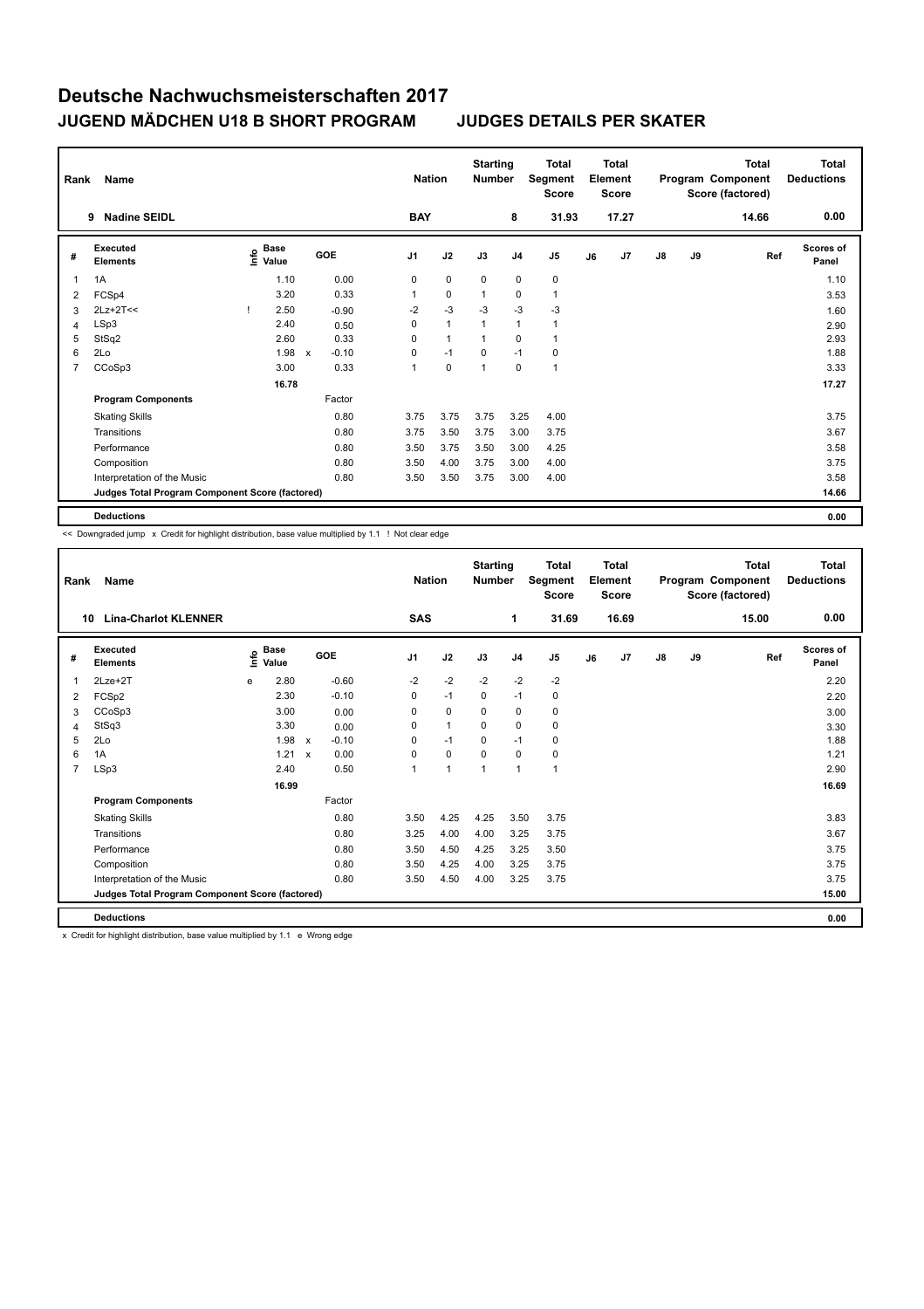| Rank           | Name                                            |                                             |   |            | <b>Nation</b>  |              | <b>Starting</b><br><b>Number</b> |                | <b>Total</b><br>Segment<br><b>Score</b> |    | <b>Total</b><br>Element<br>Score |               |    | <b>Total</b><br>Program Component<br>Score (factored) | <b>Total</b><br><b>Deductions</b> |
|----------------|-------------------------------------------------|---------------------------------------------|---|------------|----------------|--------------|----------------------------------|----------------|-----------------------------------------|----|----------------------------------|---------------|----|-------------------------------------------------------|-----------------------------------|
|                | <b>Nadine SEIDL</b><br>9                        |                                             |   |            | <b>BAY</b>     |              |                                  | 8              | 31.93                                   |    | 17.27                            |               |    | 14.66                                                 | 0.00                              |
| #              | Executed<br><b>Elements</b>                     | <b>Base</b><br>e <sup>Base</sup><br>⊆ Value |   | <b>GOE</b> | J <sub>1</sub> | J2           | J3                               | J <sub>4</sub> | J <sub>5</sub>                          | J6 | J7                               | $\mathsf{J}8$ | J9 | Ref                                                   | <b>Scores of</b><br>Panel         |
| 1              | 1A                                              | 1.10                                        |   | 0.00       | 0              | $\mathbf 0$  | 0                                | $\mathbf 0$    | 0                                       |    |                                  |               |    |                                                       | 1.10                              |
| 2              | FCSp4                                           | 3.20                                        |   | 0.33       | 1              | $\mathbf 0$  | $\mathbf{1}$                     | 0              | $\mathbf{1}$                            |    |                                  |               |    |                                                       | 3.53                              |
| 3              | $2Lz+2T<<$                                      | 2.50                                        |   | $-0.90$    | $-2$           | $-3$         | $-3$                             | $-3$           | $-3$                                    |    |                                  |               |    |                                                       | 1.60                              |
| 4              | LSp3                                            | 2.40                                        |   | 0.50       | 0              | $\mathbf{1}$ | 1                                | $\mathbf{1}$   | $\overline{1}$                          |    |                                  |               |    |                                                       | 2.90                              |
| 5              | StSq2                                           | 2.60                                        |   | 0.33       | 0              | $\mathbf{1}$ | 1                                | $\Omega$       | 1                                       |    |                                  |               |    |                                                       | 2.93                              |
| 6              | 2Lo                                             | 1.98                                        | X | $-0.10$    | 0              | $-1$         | $\mathbf 0$                      | $-1$           | 0                                       |    |                                  |               |    |                                                       | 1.88                              |
| $\overline{7}$ | CCoSp3                                          | 3.00                                        |   | 0.33       | 1              | $\mathbf 0$  | 1                                | $\mathbf 0$    | $\overline{1}$                          |    |                                  |               |    |                                                       | 3.33                              |
|                |                                                 | 16.78                                       |   |            |                |              |                                  |                |                                         |    |                                  |               |    |                                                       | 17.27                             |
|                | <b>Program Components</b>                       |                                             |   | Factor     |                |              |                                  |                |                                         |    |                                  |               |    |                                                       |                                   |
|                | <b>Skating Skills</b>                           |                                             |   | 0.80       | 3.75           | 3.75         | 3.75                             | 3.25           | 4.00                                    |    |                                  |               |    |                                                       | 3.75                              |
|                | Transitions                                     |                                             |   | 0.80       | 3.75           | 3.50         | 3.75                             | 3.00           | 3.75                                    |    |                                  |               |    |                                                       | 3.67                              |
|                | Performance                                     |                                             |   | 0.80       | 3.50           | 3.75         | 3.50                             | 3.00           | 4.25                                    |    |                                  |               |    |                                                       | 3.58                              |
|                | Composition                                     |                                             |   | 0.80       | 3.50           | 4.00         | 3.75                             | 3.00           | 4.00                                    |    |                                  |               |    |                                                       | 3.75                              |
|                | Interpretation of the Music                     |                                             |   | 0.80       | 3.50           | 3.50         | 3.75                             | 3.00           | 4.00                                    |    |                                  |               |    |                                                       | 3.58                              |
|                | Judges Total Program Component Score (factored) |                                             |   |            |                |              |                                  |                |                                         |    |                                  |               |    |                                                       | 14.66                             |
|                | <b>Deductions</b>                               |                                             |   |            |                |              |                                  |                |                                         |    |                                  |               |    |                                                       | 0.00                              |

<< Downgraded jump x Credit for highlight distribution, base value multiplied by 1.1 ! Not clear edge

| Rank           | Name                                                   |      |                      |              |         | <b>Nation</b>  |                | <b>Starting</b><br><b>Number</b> |                | <b>Total</b><br>Segment<br><b>Score</b> |    | <b>Total</b><br>Element<br><b>Score</b> |               |    | <b>Total</b><br>Program Component<br>Score (factored) | <b>Total</b><br><b>Deductions</b> |
|----------------|--------------------------------------------------------|------|----------------------|--------------|---------|----------------|----------------|----------------------------------|----------------|-----------------------------------------|----|-----------------------------------------|---------------|----|-------------------------------------------------------|-----------------------------------|
| 10             | <b>Lina-Charlot KLENNER</b>                            |      |                      |              |         | SAS            |                |                                  | 1              | 31.69                                   |    | 16.69                                   |               |    | 15.00                                                 | 0.00                              |
| #              | Executed<br><b>Elements</b>                            | lnfo | <b>Base</b><br>Value |              | GOE     | J <sub>1</sub> | J2             | J3                               | J <sub>4</sub> | J <sub>5</sub>                          | J6 | J7                                      | $\mathsf{J}8$ | J9 | Ref                                                   | Scores of<br>Panel                |
| 1              | 2Lze+2T                                                | e    | 2.80                 |              | $-0.60$ | $-2$           | $-2$           | $-2$                             | $-2$           | $-2$                                    |    |                                         |               |    |                                                       | 2.20                              |
| 2              | FCSp2                                                  |      | 2.30                 |              | $-0.10$ | 0              | $-1$           | $\mathbf 0$                      | $-1$           | $\mathbf 0$                             |    |                                         |               |    |                                                       | 2.20                              |
| 3              | CCoSp3                                                 |      | 3.00                 |              | 0.00    | $\Omega$       | $\mathbf 0$    | $\Omega$                         | $\mathbf 0$    | $\mathbf 0$                             |    |                                         |               |    |                                                       | 3.00                              |
| 4              | StSq3                                                  |      | 3.30                 |              | 0.00    | 0              | $\mathbf{1}$   | $\mathbf 0$                      | $\mathbf 0$    | $\mathbf 0$                             |    |                                         |               |    |                                                       | 3.30                              |
| 5              | 2Lo                                                    |      | 1.98                 | $\mathsf{x}$ | $-0.10$ | 0              | $-1$           | 0                                | $-1$           | 0                                       |    |                                         |               |    |                                                       | 1.88                              |
| 6              | 1A                                                     |      | 1.21                 | $\mathbf{x}$ | 0.00    | $\Omega$       | $\mathbf 0$    | $\Omega$                         | $\Omega$       | 0                                       |    |                                         |               |    |                                                       | 1.21                              |
| $\overline{7}$ | LSp3                                                   |      | 2.40                 |              | 0.50    |                | $\overline{1}$ | 1                                | $\mathbf{1}$   | $\mathbf{1}$                            |    |                                         |               |    |                                                       | 2.90                              |
|                |                                                        |      | 16.99                |              |         |                |                |                                  |                |                                         |    |                                         |               |    |                                                       | 16.69                             |
|                | <b>Program Components</b>                              |      |                      |              | Factor  |                |                |                                  |                |                                         |    |                                         |               |    |                                                       |                                   |
|                | <b>Skating Skills</b>                                  |      |                      |              | 0.80    | 3.50           | 4.25           | 4.25                             | 3.50           | 3.75                                    |    |                                         |               |    |                                                       | 3.83                              |
|                | Transitions                                            |      |                      |              | 0.80    | 3.25           | 4.00           | 4.00                             | 3.25           | 3.75                                    |    |                                         |               |    |                                                       | 3.67                              |
|                | Performance                                            |      |                      |              | 0.80    | 3.50           | 4.50           | 4.25                             | 3.25           | 3.50                                    |    |                                         |               |    |                                                       | 3.75                              |
|                | Composition                                            |      |                      |              | 0.80    | 3.50           | 4.25           | 4.00                             | 3.25           | 3.75                                    |    |                                         |               |    |                                                       | 3.75                              |
|                | Interpretation of the Music                            |      |                      |              | 0.80    | 3.50           | 4.50           | 4.00                             | 3.25           | 3.75                                    |    |                                         |               |    |                                                       | 3.75                              |
|                | <b>Judges Total Program Component Score (factored)</b> |      |                      |              |         |                |                |                                  |                |                                         |    |                                         |               |    |                                                       | 15.00                             |
|                | <b>Deductions</b>                                      |      |                      |              |         |                |                |                                  |                |                                         |    |                                         |               |    |                                                       | 0.00                              |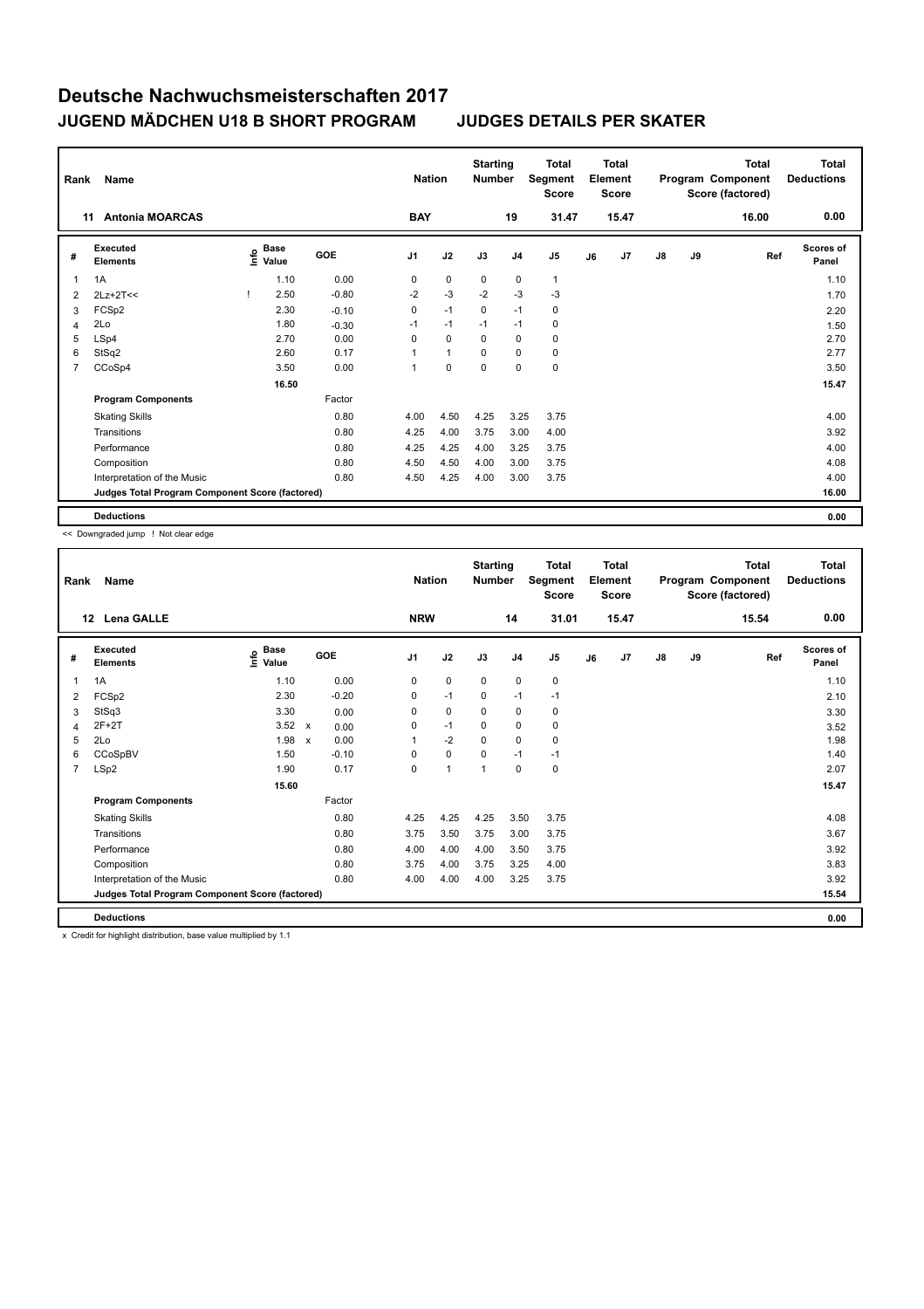| Rank           | Name                                            |                                      |            | <b>Nation</b>  |              | <b>Starting</b><br><b>Number</b> |                | <b>Total</b><br>Segment<br><b>Score</b> |    | <b>Total</b><br>Element<br><b>Score</b> |               |    | Total<br>Program Component<br>Score (factored) | Total<br><b>Deductions</b> |
|----------------|-------------------------------------------------|--------------------------------------|------------|----------------|--------------|----------------------------------|----------------|-----------------------------------------|----|-----------------------------------------|---------------|----|------------------------------------------------|----------------------------|
|                | <b>Antonia MOARCAS</b><br>11                    |                                      |            | <b>BAY</b>     |              |                                  | 19             | 31.47                                   |    | 15.47                                   |               |    | 16.00                                          | 0.00                       |
| #              | Executed<br><b>Elements</b>                     | Base<br>e <sup>Base</sup><br>⊆ Value | <b>GOE</b> | J <sub>1</sub> | J2           | J3                               | J <sub>4</sub> | J <sub>5</sub>                          | J6 | J7                                      | $\mathsf{J}8$ | J9 | Ref                                            | <b>Scores of</b><br>Panel  |
| 1              | 1A                                              | 1.10                                 | 0.00       | 0              | $\mathbf 0$  | 0                                | $\mathbf 0$    | $\overline{1}$                          |    |                                         |               |    |                                                | 1.10                       |
| 2              | $2Lz+2T<<$                                      | 2.50                                 | $-0.80$    | $-2$           | $-3$         | $-2$                             | $-3$           | $-3$                                    |    |                                         |               |    |                                                | 1.70                       |
| 3              | FCSp2                                           | 2.30                                 | $-0.10$    | 0              | $-1$         | 0                                | $-1$           | 0                                       |    |                                         |               |    |                                                | 2.20                       |
| 4              | 2Lo                                             | 1.80                                 | $-0.30$    | $-1$           | $-1$         | $-1$                             | $-1$           | 0                                       |    |                                         |               |    |                                                | 1.50                       |
| 5              | LSp4                                            | 2.70                                 | 0.00       | 0              | $\mathbf 0$  | $\Omega$                         | 0              | 0                                       |    |                                         |               |    |                                                | 2.70                       |
| 6              | StSq2                                           | 2.60                                 | 0.17       | $\mathbf{1}$   | $\mathbf{1}$ | $\Omega$                         | $\Omega$       | 0                                       |    |                                         |               |    |                                                | 2.77                       |
| $\overline{7}$ | CCoSp4                                          | 3.50                                 | 0.00       | $\mathbf{1}$   | 0            | $\mathbf 0$                      | $\mathbf 0$    | $\pmb{0}$                               |    |                                         |               |    |                                                | 3.50                       |
|                |                                                 | 16.50                                |            |                |              |                                  |                |                                         |    |                                         |               |    |                                                | 15.47                      |
|                | <b>Program Components</b>                       |                                      | Factor     |                |              |                                  |                |                                         |    |                                         |               |    |                                                |                            |
|                | <b>Skating Skills</b>                           |                                      | 0.80       | 4.00           | 4.50         | 4.25                             | 3.25           | 3.75                                    |    |                                         |               |    |                                                | 4.00                       |
|                | Transitions                                     |                                      | 0.80       | 4.25           | 4.00         | 3.75                             | 3.00           | 4.00                                    |    |                                         |               |    |                                                | 3.92                       |
|                | Performance                                     |                                      | 0.80       | 4.25           | 4.25         | 4.00                             | 3.25           | 3.75                                    |    |                                         |               |    |                                                | 4.00                       |
|                | Composition                                     |                                      | 0.80       | 4.50           | 4.50         | 4.00                             | 3.00           | 3.75                                    |    |                                         |               |    |                                                | 4.08                       |
|                | Interpretation of the Music                     |                                      | 0.80       | 4.50           | 4.25         | 4.00                             | 3.00           | 3.75                                    |    |                                         |               |    |                                                | 4.00                       |
|                | Judges Total Program Component Score (factored) |                                      |            |                |              |                                  |                |                                         |    |                                         |               |    |                                                | 16.00                      |
|                | <b>Deductions</b>                               |                                      |            |                |              |                                  |                |                                         |    |                                         |               |    |                                                | 0.00                       |

<< Downgraded jump ! Not clear edge

| Rank           | Name                                            |                             |                           |         | <b>Nation</b>  |              | <b>Starting</b><br><b>Number</b> |                | <b>Total</b><br>Segment<br><b>Score</b> |    | <b>Total</b><br>Element<br>Score |               |    | <b>Total</b><br>Program Component<br>Score (factored) | Total<br><b>Deductions</b> |
|----------------|-------------------------------------------------|-----------------------------|---------------------------|---------|----------------|--------------|----------------------------------|----------------|-----------------------------------------|----|----------------------------------|---------------|----|-------------------------------------------------------|----------------------------|
| 12             | Lena GALLE                                      |                             |                           |         | <b>NRW</b>     |              |                                  | 14             | 31.01                                   |    | 15.47                            |               |    | 15.54                                                 | 0.00                       |
| #              | <b>Executed</b><br><b>Elements</b>              | <b>Base</b><br>١m٥<br>Value | <b>GOE</b>                |         | J <sub>1</sub> | J2           | J3                               | J <sub>4</sub> | J <sub>5</sub>                          | J6 | J7                               | $\mathsf{J}8$ | J9 | Ref                                                   | <b>Scores of</b><br>Panel  |
| 1              | 1A                                              | 1.10                        |                           | 0.00    | $\mathbf 0$    | $\mathbf 0$  | $\mathbf 0$                      | $\mathbf 0$    | $\mathbf 0$                             |    |                                  |               |    |                                                       | 1.10                       |
| 2              | FCSp2                                           | 2.30                        |                           | $-0.20$ | 0              | $-1$         | $\mathbf 0$                      | $-1$           | $-1$                                    |    |                                  |               |    |                                                       | 2.10                       |
| 3              | StSq3                                           | 3.30                        |                           | 0.00    | 0              | $\mathbf 0$  | $\mathbf 0$                      | 0              | 0                                       |    |                                  |               |    |                                                       | 3.30                       |
| 4              | $2F+2T$                                         | $3.52 \times$               |                           | 0.00    | 0              | $-1$         | $\mathbf 0$                      | 0              | $\mathbf 0$                             |    |                                  |               |    |                                                       | 3.52                       |
| 5              | 2Lo                                             | 1.98                        | $\boldsymbol{\mathsf{x}}$ | 0.00    |                | $-2$         | $\mathbf 0$                      | $\mathbf 0$    | $\mathbf 0$                             |    |                                  |               |    |                                                       | 1.98                       |
| 6              | CCoSpBV                                         | 1.50                        |                           | $-0.10$ | $\Omega$       | $\mathbf 0$  | $\Omega$                         | $-1$           | $-1$                                    |    |                                  |               |    |                                                       | 1.40                       |
| $\overline{7}$ | LSp2                                            | 1.90                        |                           | 0.17    | 0              | $\mathbf{1}$ | 1                                | $\mathbf 0$    | $\mathbf 0$                             |    |                                  |               |    |                                                       | 2.07                       |
|                |                                                 | 15.60                       |                           |         |                |              |                                  |                |                                         |    |                                  |               |    |                                                       | 15.47                      |
|                | <b>Program Components</b>                       |                             |                           | Factor  |                |              |                                  |                |                                         |    |                                  |               |    |                                                       |                            |
|                | <b>Skating Skills</b>                           |                             |                           | 0.80    | 4.25           | 4.25         | 4.25                             | 3.50           | 3.75                                    |    |                                  |               |    |                                                       | 4.08                       |
|                | Transitions                                     |                             |                           | 0.80    | 3.75           | 3.50         | 3.75                             | 3.00           | 3.75                                    |    |                                  |               |    |                                                       | 3.67                       |
|                | Performance                                     |                             |                           | 0.80    | 4.00           | 4.00         | 4.00                             | 3.50           | 3.75                                    |    |                                  |               |    |                                                       | 3.92                       |
|                | Composition                                     |                             |                           | 0.80    | 3.75           | 4.00         | 3.75                             | 3.25           | 4.00                                    |    |                                  |               |    |                                                       | 3.83                       |
|                | Interpretation of the Music                     |                             |                           | 0.80    | 4.00           | 4.00         | 4.00                             | 3.25           | 3.75                                    |    |                                  |               |    |                                                       | 3.92                       |
|                | Judges Total Program Component Score (factored) |                             |                           |         |                |              |                                  |                |                                         |    |                                  |               |    |                                                       | 15.54                      |
|                | <b>Deductions</b>                               |                             |                           |         |                |              |                                  |                |                                         |    |                                  |               |    |                                                       | 0.00                       |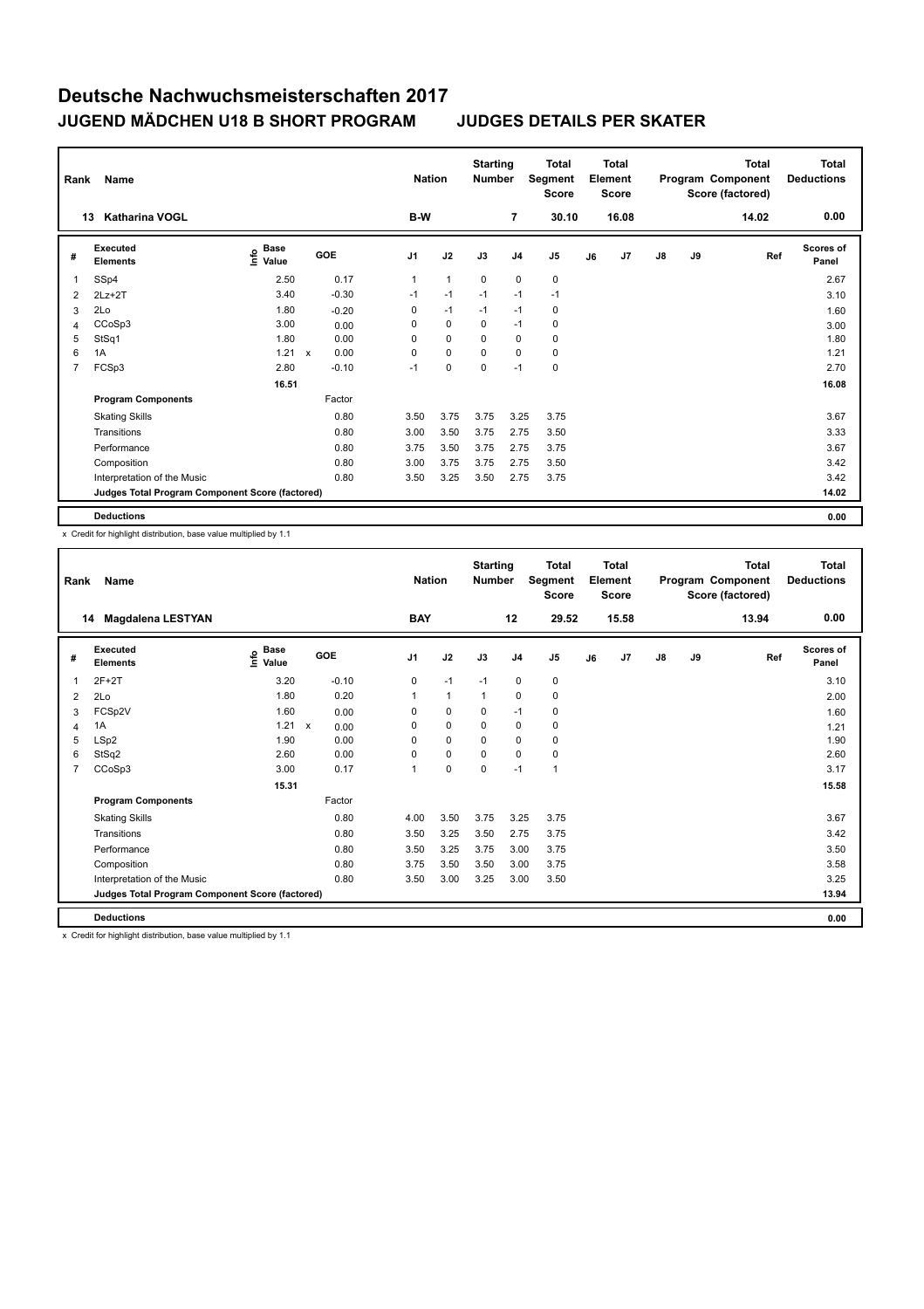| Rank | Name                                            |                                      |              |            |                | <b>Nation</b> | <b>Starting</b><br><b>Number</b> |                | <b>Total</b><br>Segment<br><b>Score</b> |    | <b>Total</b><br>Element<br><b>Score</b> |               |    | Total<br>Program Component<br>Score (factored) | Total<br><b>Deductions</b> |
|------|-------------------------------------------------|--------------------------------------|--------------|------------|----------------|---------------|----------------------------------|----------------|-----------------------------------------|----|-----------------------------------------|---------------|----|------------------------------------------------|----------------------------|
|      | <b>Katharina VOGL</b><br>13                     |                                      |              |            | B-W            |               |                                  | $\overline{7}$ | 30.10                                   |    | 16.08                                   |               |    | 14.02                                          | 0.00                       |
| #    | <b>Executed</b><br><b>Elements</b>              | Base<br>e <sup>Base</sup><br>⊆ Value |              | <b>GOE</b> | J <sub>1</sub> | J2            | J3                               | J <sub>4</sub> | J <sub>5</sub>                          | J6 | J7                                      | $\mathsf{J}8$ | J9 | Ref                                            | <b>Scores of</b><br>Panel  |
| 1    | SSp4                                            | 2.50                                 |              | 0.17       | $\mathbf{1}$   | $\mathbf{1}$  | 0                                | 0              | 0                                       |    |                                         |               |    |                                                | 2.67                       |
| 2    | $2Lz+2T$                                        | 3.40                                 |              | $-0.30$    | $-1$           | $-1$          | $-1$                             | $-1$           | $-1$                                    |    |                                         |               |    |                                                | 3.10                       |
| 3    | 2Lo                                             | 1.80                                 |              | $-0.20$    | 0              | $-1$          | $-1$                             | $-1$           | 0                                       |    |                                         |               |    |                                                | 1.60                       |
| 4    | CCoSp3                                          | 3.00                                 |              | 0.00       | 0              | $\mathbf 0$   | 0                                | $-1$           | 0                                       |    |                                         |               |    |                                                | 3.00                       |
| 5    | StSq1                                           | 1.80                                 |              | 0.00       | 0              | $\mathbf 0$   | $\Omega$                         | 0              | 0                                       |    |                                         |               |    |                                                | 1.80                       |
| 6    | 1A                                              | 1.21                                 | $\mathsf{x}$ | 0.00       | $\Omega$       | $\mathbf 0$   | $\Omega$                         | $\Omega$       | 0                                       |    |                                         |               |    |                                                | 1.21                       |
| 7    | FCSp3                                           | 2.80                                 |              | $-0.10$    | $-1$           | 0             | 0                                | $-1$           | $\pmb{0}$                               |    |                                         |               |    |                                                | 2.70                       |
|      |                                                 | 16.51                                |              |            |                |               |                                  |                |                                         |    |                                         |               |    |                                                | 16.08                      |
|      | <b>Program Components</b>                       |                                      |              | Factor     |                |               |                                  |                |                                         |    |                                         |               |    |                                                |                            |
|      | <b>Skating Skills</b>                           |                                      |              | 0.80       | 3.50           | 3.75          | 3.75                             | 3.25           | 3.75                                    |    |                                         |               |    |                                                | 3.67                       |
|      | Transitions                                     |                                      |              | 0.80       | 3.00           | 3.50          | 3.75                             | 2.75           | 3.50                                    |    |                                         |               |    |                                                | 3.33                       |
|      | Performance                                     |                                      |              | 0.80       | 3.75           | 3.50          | 3.75                             | 2.75           | 3.75                                    |    |                                         |               |    |                                                | 3.67                       |
|      | Composition                                     |                                      |              | 0.80       | 3.00           | 3.75          | 3.75                             | 2.75           | 3.50                                    |    |                                         |               |    |                                                | 3.42                       |
|      | Interpretation of the Music                     |                                      |              | 0.80       | 3.50           | 3.25          | 3.50                             | 2.75           | 3.75                                    |    |                                         |               |    |                                                | 3.42                       |
|      | Judges Total Program Component Score (factored) |                                      |              |            |                |               |                                  |                |                                         |    |                                         |               |    |                                                | 14.02                      |
|      | <b>Deductions</b>                               |                                      |              |            |                |               |                                  |                |                                         |    |                                         |               |    |                                                | 0.00                       |

x Credit for highlight distribution, base value multiplied by 1.1

| Rank           | Name                                            |                                  |              |                      | <b>Nation</b> |              | <b>Starting</b><br><b>Number</b> |                | <b>Total</b><br>Segment<br><b>Score</b> |    | Total<br>Element<br><b>Score</b> |               |    | <b>Total</b><br>Program Component<br>Score (factored) | <b>Total</b><br><b>Deductions</b> |
|----------------|-------------------------------------------------|----------------------------------|--------------|----------------------|---------------|--------------|----------------------------------|----------------|-----------------------------------------|----|----------------------------------|---------------|----|-------------------------------------------------------|-----------------------------------|
|                | <b>Magdalena LESTYAN</b><br>14                  |                                  |              |                      | <b>BAY</b>    |              |                                  | 12             | 29.52                                   |    | 15.58                            |               |    | 13.94                                                 | 0.00                              |
| #              | <b>Executed</b><br><b>Elements</b>              | <b>Base</b><br>o Base<br>⊆ Value | GOE          | J <sub>1</sub>       |               | J2           | J3                               | J <sub>4</sub> | J <sub>5</sub>                          | J6 | J7                               | $\mathsf{J}8$ | J9 | Ref                                                   | <b>Scores of</b><br>Panel         |
| 1              | $2F+2T$                                         | 3.20                             |              | $-0.10$              | $\mathbf 0$   | $-1$         | $-1$                             | $\mathbf 0$    | $\pmb{0}$                               |    |                                  |               |    |                                                       | 3.10                              |
| 2              | 2Lo                                             | 1.80                             |              | 0.20<br>$\mathbf{1}$ |               | $\mathbf{1}$ | $\overline{1}$                   | $\mathbf 0$    | $\pmb{0}$                               |    |                                  |               |    |                                                       | 2.00                              |
| 3              | FCSp2V                                          | 1.60                             |              | 0.00                 | 0             | $\pmb{0}$    | 0                                | $-1$           | 0                                       |    |                                  |               |    |                                                       | 1.60                              |
| 4              | 1A                                              | 1.21                             | $\mathsf{x}$ | 0.00                 | $\Omega$      | $\mathbf 0$  | $\Omega$                         | $\mathbf 0$    | 0                                       |    |                                  |               |    |                                                       | 1.21                              |
| 5              | LSp2                                            | 1.90                             |              | 0.00                 | 0             | $\mathbf 0$  | 0                                | $\mathbf 0$    | 0                                       |    |                                  |               |    |                                                       | 1.90                              |
| 6              | StSq2                                           | 2.60                             |              | 0.00                 | 0             | $\mathbf 0$  | $\Omega$                         | $\mathbf 0$    | 0                                       |    |                                  |               |    |                                                       | 2.60                              |
| $\overline{7}$ | CCoSp3                                          | 3.00                             |              | 0.17<br>1            |               | $\mathbf 0$  | $\mathbf 0$                      | $-1$           | $\mathbf{1}$                            |    |                                  |               |    |                                                       | 3.17                              |
|                |                                                 | 15.31                            |              |                      |               |              |                                  |                |                                         |    |                                  |               |    |                                                       | 15.58                             |
|                | <b>Program Components</b>                       |                                  | Factor       |                      |               |              |                                  |                |                                         |    |                                  |               |    |                                                       |                                   |
|                | <b>Skating Skills</b>                           |                                  |              | 0.80<br>4.00         |               | 3.50         | 3.75                             | 3.25           | 3.75                                    |    |                                  |               |    |                                                       | 3.67                              |
|                | Transitions                                     |                                  |              | 0.80                 | 3.50          | 3.25         | 3.50                             | 2.75           | 3.75                                    |    |                                  |               |    |                                                       | 3.42                              |
|                | Performance                                     |                                  |              | 0.80                 | 3.50          | 3.25         | 3.75                             | 3.00           | 3.75                                    |    |                                  |               |    |                                                       | 3.50                              |
|                | Composition                                     |                                  |              | 0.80                 | 3.75          | 3.50         | 3.50                             | 3.00           | 3.75                                    |    |                                  |               |    |                                                       | 3.58                              |
|                | Interpretation of the Music                     |                                  |              | 0.80                 | 3.50          | 3.00         | 3.25                             | 3.00           | 3.50                                    |    |                                  |               |    |                                                       | 3.25                              |
|                | Judges Total Program Component Score (factored) |                                  |              |                      |               |              |                                  |                |                                         |    |                                  |               |    |                                                       | 13.94                             |
|                | <b>Deductions</b>                               |                                  |              |                      |               |              |                                  |                |                                         |    |                                  |               |    |                                                       | 0.00                              |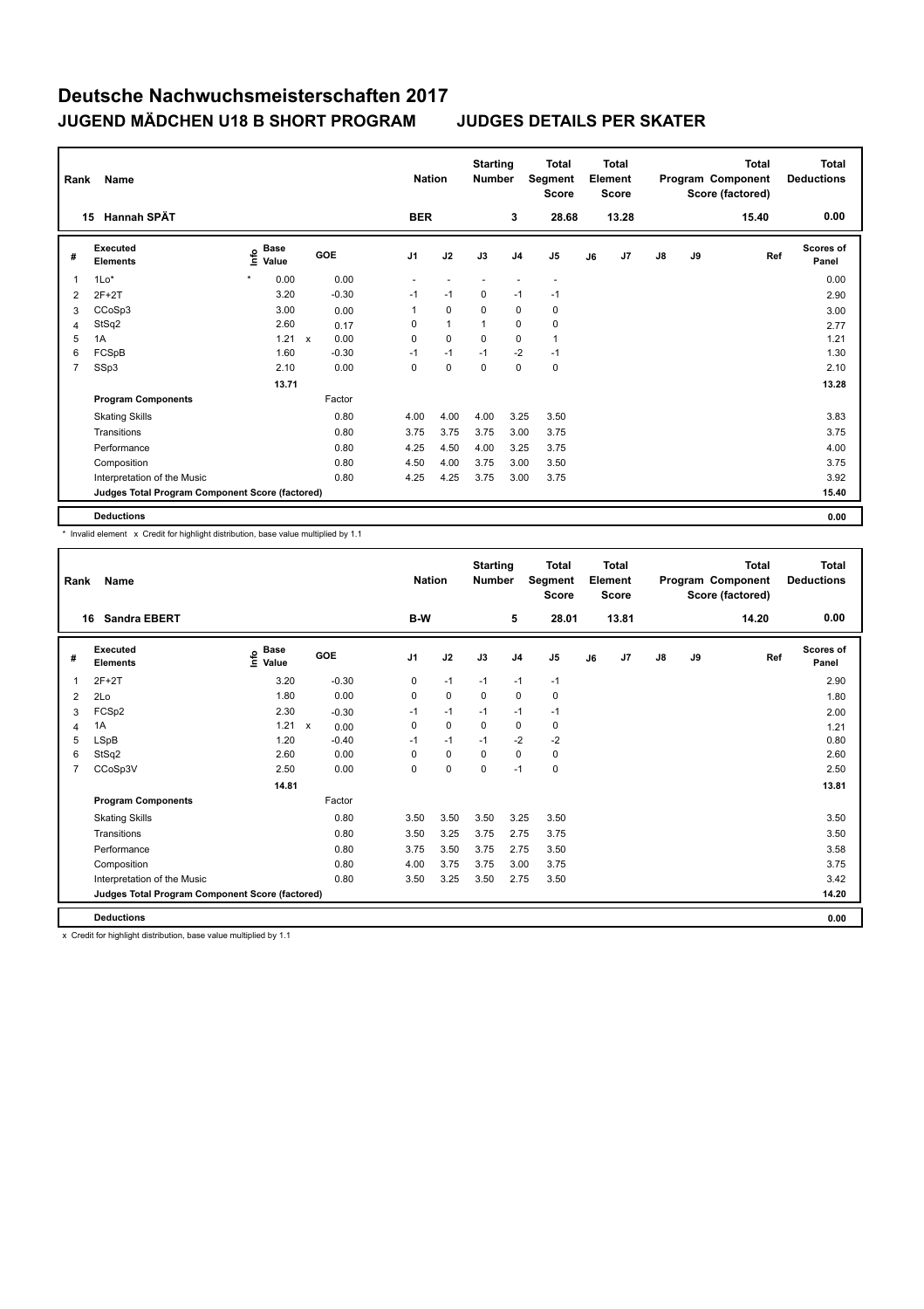| Rank | Name                                            |                                             |       |              |         | <b>Nation</b> |              |          | <b>Starting</b><br><b>Number</b> | <b>Total</b><br>Segment<br><b>Score</b> | <b>Total</b><br>Element<br><b>Score</b> |       |               |    | Total<br>Program Component<br>Score (factored) | Total<br><b>Deductions</b> |
|------|-------------------------------------------------|---------------------------------------------|-------|--------------|---------|---------------|--------------|----------|----------------------------------|-----------------------------------------|-----------------------------------------|-------|---------------|----|------------------------------------------------|----------------------------|
|      | <b>Hannah SPÄT</b><br>15                        |                                             |       |              |         | <b>BER</b>    |              |          | 3                                | 28.68                                   |                                         | 13.28 |               |    | 15.40                                          | 0.00                       |
| #    | <b>Executed</b><br><b>Elements</b>              | <b>Base</b><br>e <sup>Base</sup><br>⊆ Value |       | GOE          |         | J1            | J2           | J3       | J <sub>4</sub>                   | J <sub>5</sub>                          | J6                                      | J7    | $\mathsf{J}8$ | J9 | Ref                                            | <b>Scores of</b><br>Panel  |
| 1    | $1Lo*$                                          |                                             | 0.00  |              | 0.00    |               |              |          |                                  |                                         |                                         |       |               |    |                                                | 0.00                       |
| 2    | $2F+2T$                                         |                                             | 3.20  |              | $-0.30$ | $-1$          | $-1$         | 0        | $-1$                             | $-1$                                    |                                         |       |               |    |                                                | 2.90                       |
| 3    | CCoSp3                                          |                                             | 3.00  |              | 0.00    | 1             | $\mathbf 0$  | 0        | 0                                | 0                                       |                                         |       |               |    |                                                | 3.00                       |
| 4    | StSq2                                           |                                             | 2.60  |              | 0.17    | 0             | $\mathbf{1}$ | 1        | $\mathbf 0$                      | 0                                       |                                         |       |               |    |                                                | 2.77                       |
| 5    | 1A                                              |                                             | 1.21  | $\mathsf{x}$ | 0.00    | 0             | $\mathbf 0$  | $\Omega$ | $\mathbf 0$                      | $\overline{1}$                          |                                         |       |               |    |                                                | 1.21                       |
| 6    | FCSpB                                           |                                             | 1.60  |              | $-0.30$ | $-1$          | $-1$         | $-1$     | $-2$                             | $-1$                                    |                                         |       |               |    |                                                | 1.30                       |
| 7    | SSp3                                            |                                             | 2.10  |              | 0.00    | 0             | $\pmb{0}$    | 0        | $\mathbf 0$                      | $\pmb{0}$                               |                                         |       |               |    |                                                | 2.10                       |
|      |                                                 |                                             | 13.71 |              |         |               |              |          |                                  |                                         |                                         |       |               |    |                                                | 13.28                      |
|      | <b>Program Components</b>                       |                                             |       |              | Factor  |               |              |          |                                  |                                         |                                         |       |               |    |                                                |                            |
|      | <b>Skating Skills</b>                           |                                             |       |              | 0.80    | 4.00          | 4.00         | 4.00     | 3.25                             | 3.50                                    |                                         |       |               |    |                                                | 3.83                       |
|      | Transitions                                     |                                             |       |              | 0.80    | 3.75          | 3.75         | 3.75     | 3.00                             | 3.75                                    |                                         |       |               |    |                                                | 3.75                       |
|      | Performance                                     |                                             |       |              | 0.80    | 4.25          | 4.50         | 4.00     | 3.25                             | 3.75                                    |                                         |       |               |    |                                                | 4.00                       |
|      | Composition                                     |                                             |       |              | 0.80    | 4.50          | 4.00         | 3.75     | 3.00                             | 3.50                                    |                                         |       |               |    |                                                | 3.75                       |
|      | Interpretation of the Music                     |                                             |       |              | 0.80    | 4.25          | 4.25         | 3.75     | 3.00                             | 3.75                                    |                                         |       |               |    |                                                | 3.92                       |
|      | Judges Total Program Component Score (factored) |                                             |       |              |         |               |              |          |                                  |                                         |                                         |       |               |    |                                                | 15.40                      |
|      | <b>Deductions</b>                               |                                             |       |              |         |               |              |          |                                  |                                         |                                         |       |               |    |                                                | 0.00                       |

\* Invalid element x Credit for highlight distribution, base value multiplied by 1.1

| Rank           | Name                                            |                              |                      | <b>Nation</b>  |             | <b>Starting</b><br><b>Number</b> |                | <b>Total</b><br>Segment<br><b>Score</b> |    | Total<br>Element<br><b>Score</b> |               |    | Total<br>Program Component<br>Score (factored) | <b>Total</b><br><b>Deductions</b> |
|----------------|-------------------------------------------------|------------------------------|----------------------|----------------|-------------|----------------------------------|----------------|-----------------------------------------|----|----------------------------------|---------------|----|------------------------------------------------|-----------------------------------|
| 16             | <b>Sandra EBERT</b>                             |                              |                      | B-W            |             |                                  | 5              | 28.01                                   |    | 13.81                            |               |    | 14.20                                          | 0.00                              |
| #              | Executed<br><b>Elements</b>                     | <b>Base</b><br>lnfo<br>Value | GOE                  | J <sub>1</sub> | J2          | J3                               | J <sub>4</sub> | J <sub>5</sub>                          | J6 | J7                               | $\mathsf{J}8$ | J9 | Ref                                            | <b>Scores of</b><br>Panel         |
| 1              | $2F+2T$                                         | 3.20                         | $-0.30$              | $\mathbf 0$    | $-1$        | $-1$                             | $-1$           | $-1$                                    |    |                                  |               |    |                                                | 2.90                              |
| 2              | 2Lo                                             | 1.80                         | 0.00                 | $\mathbf 0$    | $\mathbf 0$ | $\mathbf 0$                      | $\mathbf 0$    | $\mathbf 0$                             |    |                                  |               |    |                                                | 1.80                              |
| 3              | FCSp2                                           | 2.30                         | $-0.30$              | $-1$           | $-1$        | $-1$                             | $-1$           | $-1$                                    |    |                                  |               |    |                                                | 2.00                              |
| $\overline{4}$ | 1A                                              | 1.21                         | $\mathsf{x}$<br>0.00 | 0              | $\mathbf 0$ | 0                                | 0              | 0                                       |    |                                  |               |    |                                                | 1.21                              |
| 5              | <b>LSpB</b>                                     | 1.20                         | $-0.40$              | $-1$           | $-1$        | $-1$                             | $-2$           | $-2$                                    |    |                                  |               |    |                                                | 0.80                              |
| 6              | StSq2                                           | 2.60                         | 0.00                 | 0              | $\mathbf 0$ | 0                                | $\mathbf 0$    | $\mathbf 0$                             |    |                                  |               |    |                                                | 2.60                              |
| 7              | CCoSp3V                                         | 2.50                         | 0.00                 | 0              | $\mathbf 0$ | 0                                | $-1$           | $\pmb{0}$                               |    |                                  |               |    |                                                | 2.50                              |
|                |                                                 | 14.81                        |                      |                |             |                                  |                |                                         |    |                                  |               |    |                                                | 13.81                             |
|                | <b>Program Components</b>                       |                              | Factor               |                |             |                                  |                |                                         |    |                                  |               |    |                                                |                                   |
|                | <b>Skating Skills</b>                           |                              | 0.80                 | 3.50           | 3.50        | 3.50                             | 3.25           | 3.50                                    |    |                                  |               |    |                                                | 3.50                              |
|                | Transitions                                     |                              | 0.80                 | 3.50           | 3.25        | 3.75                             | 2.75           | 3.75                                    |    |                                  |               |    |                                                | 3.50                              |
|                | Performance                                     |                              | 0.80                 | 3.75           | 3.50        | 3.75                             | 2.75           | 3.50                                    |    |                                  |               |    |                                                | 3.58                              |
|                | Composition                                     |                              | 0.80                 | 4.00           | 3.75        | 3.75                             | 3.00           | 3.75                                    |    |                                  |               |    |                                                | 3.75                              |
|                | Interpretation of the Music                     |                              | 0.80                 | 3.50           | 3.25        | 3.50                             | 2.75           | 3.50                                    |    |                                  |               |    |                                                | 3.42                              |
|                | Judges Total Program Component Score (factored) |                              |                      |                |             |                                  |                |                                         |    |                                  |               |    |                                                | 14.20                             |
|                | <b>Deductions</b>                               |                              |                      |                |             |                                  |                |                                         |    |                                  |               |    |                                                | 0.00                              |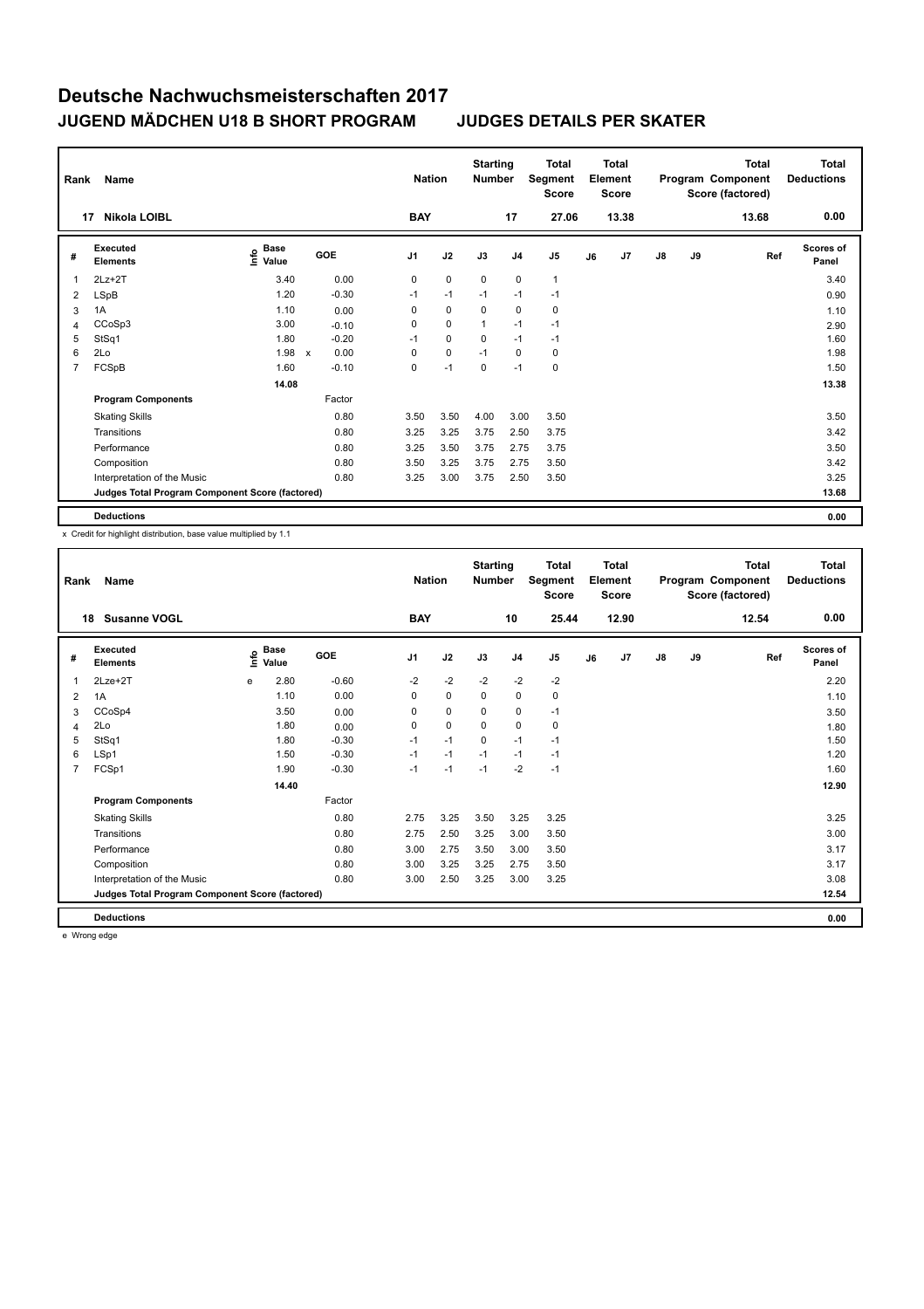| Rank | Name                                            |                                             |              |         |                | <b>Nation</b> | <b>Starting</b><br><b>Number</b> |                | <b>Total</b><br>Segment<br><b>Score</b> |    | <b>Total</b><br>Element<br><b>Score</b> |               |    | <b>Total</b><br>Program Component<br>Score (factored) | Total<br><b>Deductions</b> |
|------|-------------------------------------------------|---------------------------------------------|--------------|---------|----------------|---------------|----------------------------------|----------------|-----------------------------------------|----|-----------------------------------------|---------------|----|-------------------------------------------------------|----------------------------|
|      | Nikola LOIBL<br>17                              |                                             |              |         | <b>BAY</b>     |               |                                  | 17             | 27.06                                   |    | 13.38                                   |               |    | 13.68                                                 | 0.00                       |
| #    | <b>Executed</b><br><b>Elements</b>              | <b>Base</b><br>e <sup>Base</sup><br>⊆ Value | <b>GOE</b>   |         | J <sub>1</sub> | J2            | J3                               | J <sub>4</sub> | J <sub>5</sub>                          | J6 | J7                                      | $\mathsf{J}8$ | J9 | Ref                                                   | <b>Scores of</b><br>Panel  |
| 1    | $2Lz + 2T$                                      | 3.40                                        |              | 0.00    | 0              | $\mathbf 0$   | $\mathbf 0$                      | $\mathbf 0$    | $\overline{1}$                          |    |                                         |               |    |                                                       | 3.40                       |
| 2    | <b>LSpB</b>                                     | 1.20                                        |              | $-0.30$ | $-1$           | $-1$          | $-1$                             | $-1$           | $-1$                                    |    |                                         |               |    |                                                       | 0.90                       |
| 3    | 1A                                              | 1.10                                        |              | 0.00    | 0              | $\mathbf 0$   | 0                                | 0              | 0                                       |    |                                         |               |    |                                                       | 1.10                       |
| 4    | CCoSp3                                          | 3.00                                        |              | $-0.10$ | 0              | $\mathbf 0$   | $\mathbf{1}$                     | $-1$           | $-1$                                    |    |                                         |               |    |                                                       | 2.90                       |
| 5    | StSq1                                           | 1.80                                        |              | $-0.20$ | $-1$           | $\mathbf 0$   | $\Omega$                         | $-1$           | $-1$                                    |    |                                         |               |    |                                                       | 1.60                       |
| 6    | 2Lo                                             | 1.98                                        | $\mathsf{x}$ | 0.00    | 0              | $\mathbf 0$   | $-1$                             | 0              | 0                                       |    |                                         |               |    |                                                       | 1.98                       |
| 7    | FCSpB                                           | 1.60                                        |              | $-0.10$ | 0              | $-1$          | 0                                | $-1$           | $\pmb{0}$                               |    |                                         |               |    |                                                       | 1.50                       |
|      |                                                 | 14.08                                       |              |         |                |               |                                  |                |                                         |    |                                         |               |    |                                                       | 13.38                      |
|      | <b>Program Components</b>                       |                                             |              | Factor  |                |               |                                  |                |                                         |    |                                         |               |    |                                                       |                            |
|      | <b>Skating Skills</b>                           |                                             |              | 0.80    | 3.50           | 3.50          | 4.00                             | 3.00           | 3.50                                    |    |                                         |               |    |                                                       | 3.50                       |
|      | Transitions                                     |                                             |              | 0.80    | 3.25           | 3.25          | 3.75                             | 2.50           | 3.75                                    |    |                                         |               |    |                                                       | 3.42                       |
|      | Performance                                     |                                             |              | 0.80    | 3.25           | 3.50          | 3.75                             | 2.75           | 3.75                                    |    |                                         |               |    |                                                       | 3.50                       |
|      | Composition                                     |                                             |              | 0.80    | 3.50           | 3.25          | 3.75                             | 2.75           | 3.50                                    |    |                                         |               |    |                                                       | 3.42                       |
|      | Interpretation of the Music                     |                                             |              | 0.80    | 3.25           | 3.00          | 3.75                             | 2.50           | 3.50                                    |    |                                         |               |    |                                                       | 3.25                       |
|      | Judges Total Program Component Score (factored) |                                             |              |         |                |               |                                  |                |                                         |    |                                         |               |    |                                                       | 13.68                      |
|      | <b>Deductions</b>                               |                                             |              |         |                |               |                                  |                |                                         |    |                                         |               |    |                                                       | 0.00                       |

x Credit for highlight distribution, base value multiplied by 1.1

| Rank           | Name                                            |      | <b>Nation</b>        |         |                | <b>Total</b><br>Segment<br><b>Score</b> |             | <b>Total</b><br>Element<br><b>Score</b><br>12.90 |                |    | <b>Total</b><br>Program Component<br>Score (factored) | <b>Total</b><br><b>Deductions</b> |    |       |                           |
|----------------|-------------------------------------------------|------|----------------------|---------|----------------|-----------------------------------------|-------------|--------------------------------------------------|----------------|----|-------------------------------------------------------|-----------------------------------|----|-------|---------------------------|
| 18             | <b>Susanne VOGL</b>                             |      |                      |         | <b>BAY</b>     |                                         |             | 10                                               | 25.44          |    |                                                       |                                   |    | 12.54 | 0.00                      |
| #              | Executed<br><b>Elements</b>                     | ١mfo | <b>Base</b><br>Value | GOE     | J <sub>1</sub> | J2                                      | J3          | J <sub>4</sub>                                   | J <sub>5</sub> | J6 | J <sub>7</sub>                                        | $\mathsf{J}8$                     | J9 | Ref   | <b>Scores of</b><br>Panel |
| 1              | $2Lze+2T$                                       | e    | 2.80                 | $-0.60$ | $-2$           | $-2$                                    | $-2$        | $-2$                                             | $-2$           |    |                                                       |                                   |    |       | 2.20                      |
| 2              | 1A                                              |      | 1.10                 | 0.00    | $\mathbf 0$    | $\mathbf 0$                             | $\mathbf 0$ | $\mathbf 0$                                      | $\pmb{0}$      |    |                                                       |                                   |    |       | 1.10                      |
| 3              | CCoSp4                                          |      | 3.50                 | 0.00    | 0              | $\mathbf 0$                             | 0           | 0                                                | $-1$           |    |                                                       |                                   |    |       | 3.50                      |
| 4              | 2Lo                                             |      | 1.80                 | 0.00    | 0              | $\mathbf 0$                             | $\Omega$    | 0                                                | 0              |    |                                                       |                                   |    |       | 1.80                      |
| 5              | StSq1                                           |      | 1.80                 | $-0.30$ | $-1$           | $-1$                                    | 0           | $-1$                                             | $-1$           |    |                                                       |                                   |    |       | 1.50                      |
| 6              | LSp1                                            |      | 1.50                 | $-0.30$ | $-1$           | $-1$                                    | $-1$        | $-1$                                             | $-1$           |    |                                                       |                                   |    |       | 1.20                      |
| $\overline{7}$ | FCSp1                                           |      | 1.90                 | $-0.30$ | $-1$           | $-1$                                    | $-1$        | $-2$                                             | $-1$           |    |                                                       |                                   |    |       | 1.60                      |
|                |                                                 |      | 14.40                |         |                |                                         |             |                                                  |                |    |                                                       |                                   |    |       | 12.90                     |
|                | <b>Program Components</b>                       |      |                      | Factor  |                |                                         |             |                                                  |                |    |                                                       |                                   |    |       |                           |
|                | <b>Skating Skills</b>                           |      |                      | 0.80    | 2.75           | 3.25                                    | 3.50        | 3.25                                             | 3.25           |    |                                                       |                                   |    |       | 3.25                      |
|                | Transitions                                     |      |                      | 0.80    | 2.75           | 2.50                                    | 3.25        | 3.00                                             | 3.50           |    |                                                       |                                   |    |       | 3.00                      |
|                | Performance                                     |      |                      | 0.80    | 3.00           | 2.75                                    | 3.50        | 3.00                                             | 3.50           |    |                                                       |                                   |    |       | 3.17                      |
|                | Composition                                     |      |                      | 0.80    | 3.00           | 3.25                                    | 3.25        | 2.75                                             | 3.50           |    |                                                       |                                   |    |       | 3.17                      |
|                | Interpretation of the Music                     |      |                      | 0.80    | 3.00           | 2.50                                    | 3.25        | 3.00                                             | 3.25           |    |                                                       |                                   |    |       | 3.08                      |
|                | Judges Total Program Component Score (factored) |      |                      |         |                |                                         |             |                                                  |                |    |                                                       |                                   |    |       | 12.54                     |
|                | <b>Deductions</b>                               |      |                      |         |                |                                         |             |                                                  |                |    |                                                       |                                   |    |       | 0.00                      |

e Wrong edge